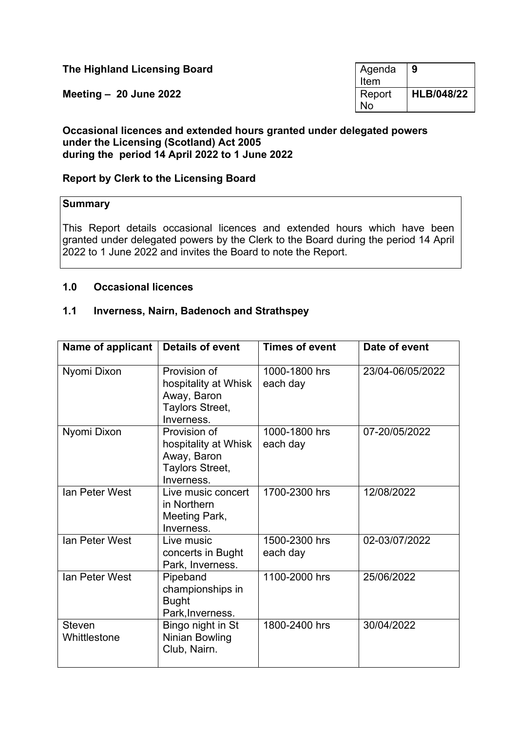**The Highland Licensing Board** 

**Meeting - 20 June 2022** 

| Agenda | 9                 |
|--------|-------------------|
| Item   |                   |
| Report | <b>HLB/048/22</b> |
| N٥     |                   |

### **Occasional licences and extended hours granted under delegated powers under the Licensing (Scotland) Act 2005 during the period 14 April 2022 to 1 June 2022**

## **Report by Clerk to the Licensing Board**

#### **Summary**

This Report details occasional licences and extended hours which have been granted under delegated powers by the Clerk to the Board during the period 14 April 2022 to 1 June 2022 and invites the Board to note the Report.

#### **1.0 Occasional licences**

#### **1.1 Inverness, Nairn, Badenoch and Strathspey**

| Name of applicant             | <b>Details of event</b>                                                              | <b>Times of event</b>     | Date of event    |
|-------------------------------|--------------------------------------------------------------------------------------|---------------------------|------------------|
| Nyomi Dixon                   | Provision of<br>hospitality at Whisk<br>Away, Baron<br>Taylors Street,<br>Inverness. | 1000-1800 hrs<br>each day | 23/04-06/05/2022 |
| Nyomi Dixon                   | Provision of<br>hospitality at Whisk<br>Away, Baron<br>Taylors Street,<br>Inverness. | 1000-1800 hrs<br>each day | 07-20/05/2022    |
| Ian Peter West                | Live music concert<br>in Northern<br>Meeting Park,<br>Inverness.                     | 1700-2300 hrs             | 12/08/2022       |
| Ian Peter West                | Live music<br>concerts in Bught<br>Park, Inverness.                                  | 1500-2300 hrs<br>each day | 02-03/07/2022    |
| Ian Peter West                | Pipeband<br>championships in<br><b>Bught</b><br>Park, Inverness.                     | 1100-2000 hrs             | 25/06/2022       |
| <b>Steven</b><br>Whittlestone | Bingo night in St<br><b>Ninian Bowling</b><br>Club, Nairn.                           | 1800-2400 hrs             | 30/04/2022       |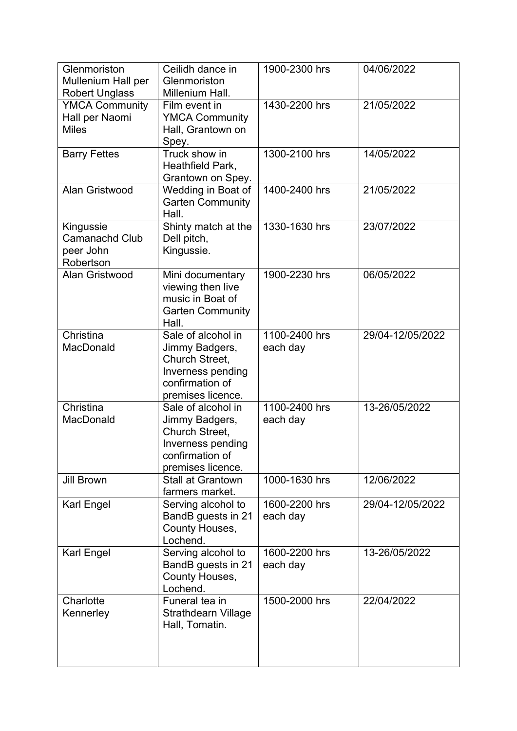| Glenmoriston<br>Mullenium Hall per<br><b>Robert Unglass</b>  | Ceilidh dance in<br>Glenmoriston<br>Millenium Hall.                                                                 | 1900-2300 hrs             | 04/06/2022       |
|--------------------------------------------------------------|---------------------------------------------------------------------------------------------------------------------|---------------------------|------------------|
| <b>YMCA Community</b><br>Hall per Naomi<br><b>Miles</b>      | Film event in<br><b>YMCA Community</b><br>Hall, Grantown on<br>Spey.                                                | 1430-2200 hrs             | 21/05/2022       |
| <b>Barry Fettes</b>                                          | Truck show in<br>Heathfield Park,<br>Grantown on Spey.                                                              | 1300-2100 hrs             | 14/05/2022       |
| Alan Gristwood                                               | Wedding in Boat of<br><b>Garten Community</b><br>Hall.                                                              | 1400-2400 hrs             | 21/05/2022       |
| Kingussie<br><b>Camanachd Club</b><br>peer John<br>Robertson | Shinty match at the<br>Dell pitch,<br>Kingussie.                                                                    | 1330-1630 hrs             | 23/07/2022       |
| Alan Gristwood                                               | Mini documentary<br>viewing then live<br>music in Boat of<br><b>Garten Community</b><br>Hall.                       | 1900-2230 hrs             | 06/05/2022       |
| Christina<br>MacDonald                                       | Sale of alcohol in<br>Jimmy Badgers,<br>Church Street,<br>Inverness pending<br>confirmation of<br>premises licence. | 1100-2400 hrs<br>each day | 29/04-12/05/2022 |
| Christina<br>MacDonald                                       | Sale of alcohol in<br>Jimmy Badgers,<br>Church Street,<br>Inverness pending<br>confirmation of<br>premises licence. | 1100-2400 hrs<br>each day | 13-26/05/2022    |
| <b>Jill Brown</b>                                            | <b>Stall at Grantown</b><br>farmers market.                                                                         | 1000-1630 hrs             | 12/06/2022       |
| <b>Karl Engel</b>                                            | Serving alcohol to<br>BandB guests in 21<br>County Houses,<br>Lochend.                                              | 1600-2200 hrs<br>each day | 29/04-12/05/2022 |
| <b>Karl Engel</b>                                            | Serving alcohol to<br>BandB guests in 21<br>County Houses,<br>Lochend.                                              | 1600-2200 hrs<br>each day | 13-26/05/2022    |
| Charlotte<br>Kennerley                                       | Funeral tea in<br>Strathdearn Village<br>Hall, Tomatin.                                                             | 1500-2000 hrs             | 22/04/2022       |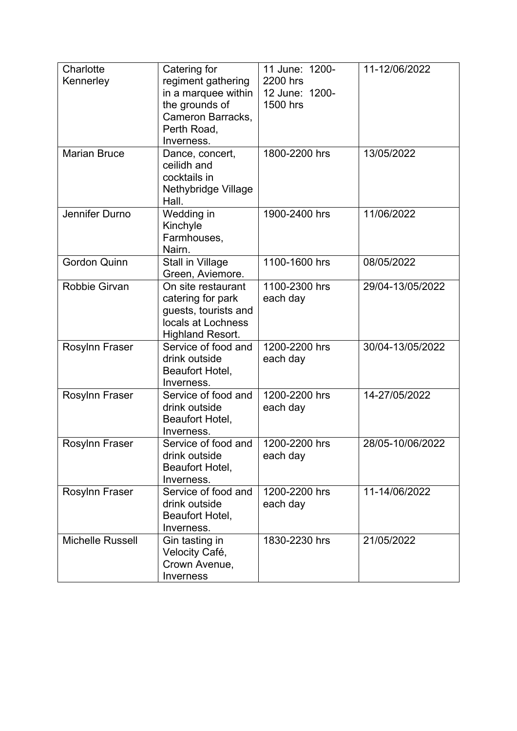| Charlotte<br>Kennerley  | Catering for<br>regiment gathering<br>in a marquee within<br>the grounds of<br>Cameron Barracks,<br>Perth Road,<br>Inverness. | 11 June: 1200-<br>2200 hrs<br>12 June: 1200-<br>1500 hrs | 11-12/06/2022    |
|-------------------------|-------------------------------------------------------------------------------------------------------------------------------|----------------------------------------------------------|------------------|
| <b>Marian Bruce</b>     | Dance, concert,<br>ceilidh and<br>cocktails in<br>Nethybridge Village<br>Hall.                                                | 1800-2200 hrs                                            | 13/05/2022       |
| Jennifer Durno          | Wedding in<br>Kinchyle<br>Farmhouses,<br>Nairn.                                                                               | 1900-2400 hrs                                            | 11/06/2022       |
| <b>Gordon Quinn</b>     | <b>Stall in Village</b><br>Green, Aviemore.                                                                                   | 1100-1600 hrs                                            | 08/05/2022       |
| Robbie Girvan           | On site restaurant<br>catering for park<br>quests, tourists and<br>locals at Lochness<br><b>Highland Resort.</b>              | 1100-2300 hrs<br>each day                                | 29/04-13/05/2022 |
| <b>Rosylnn Fraser</b>   | Service of food and<br>drink outside<br>Beaufort Hotel,<br>Inverness.                                                         | 1200-2200 hrs<br>each day                                | 30/04-13/05/2022 |
| Rosylnn Fraser          | Service of food and<br>drink outside<br>Beaufort Hotel,<br>Inverness.                                                         | 1200-2200 hrs<br>each day                                | 14-27/05/2022    |
| <b>Rosylnn Fraser</b>   | Service of food and<br>drink outside<br>Beaufort Hotel,<br>Inverness.                                                         | 1200-2200 hrs<br>each day                                | 28/05-10/06/2022 |
| Rosylnn Fraser          | Service of food and<br>drink outside<br>Beaufort Hotel,<br>Inverness.                                                         | 1200-2200 hrs<br>each day                                | 11-14/06/2022    |
| <b>Michelle Russell</b> | Gin tasting in<br>Velocity Café,<br>Crown Avenue,<br>Inverness                                                                | 1830-2230 hrs                                            | 21/05/2022       |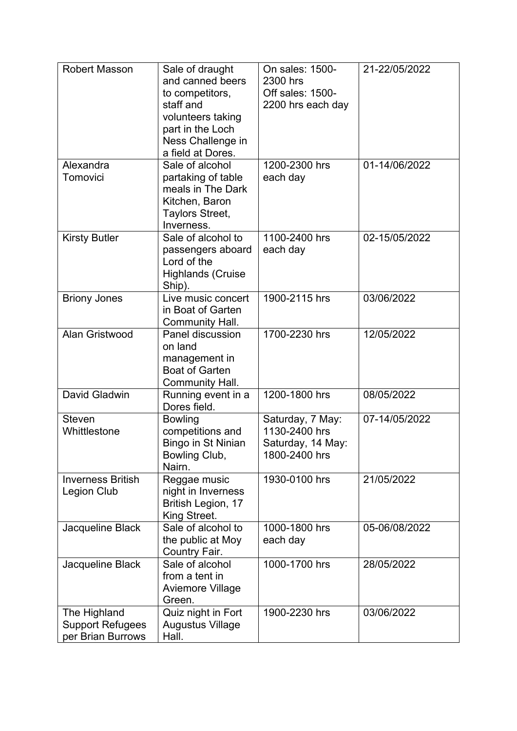| <b>Robert Masson</b>                                         | Sale of draught<br>and canned beers<br>to competitors,<br>staff and<br>volunteers taking<br>part in the Loch<br>Ness Challenge in<br>a field at Dores. | On sales: 1500-<br>2300 hrs<br>Off sales: 1500-<br>2200 hrs each day    | 21-22/05/2022 |
|--------------------------------------------------------------|--------------------------------------------------------------------------------------------------------------------------------------------------------|-------------------------------------------------------------------------|---------------|
| Alexandra<br>Tomovici                                        | Sale of alcohol<br>partaking of table<br>meals in The Dark<br>Kitchen, Baron<br>Taylors Street,<br>Inverness.                                          | 1200-2300 hrs<br>each day                                               | 01-14/06/2022 |
| <b>Kirsty Butler</b>                                         | Sale of alcohol to<br>passengers aboard<br>Lord of the<br><b>Highlands (Cruise</b><br>Ship).                                                           | 1100-2400 hrs<br>each day                                               | 02-15/05/2022 |
| <b>Briony Jones</b>                                          | Live music concert<br>in Boat of Garten<br>Community Hall.                                                                                             | 1900-2115 hrs                                                           | 03/06/2022    |
| Alan Gristwood                                               | Panel discussion<br>on land<br>management in<br><b>Boat of Garten</b><br>Community Hall.                                                               | 1700-2230 hrs                                                           | 12/05/2022    |
| David Gladwin                                                | Running event in a<br>Dores field.                                                                                                                     | 1200-1800 hrs                                                           | 08/05/2022    |
| <b>Steven</b><br>Whittlestone                                | <b>Bowling</b><br>competitions and<br>Bingo in St Ninian<br>Bowling Club,<br>Nairn.                                                                    | Saturday, 7 May:<br>1130-2400 hrs<br>Saturday, 14 May:<br>1800-2400 hrs | 07-14/05/2022 |
| <b>Inverness British</b><br><b>Legion Club</b>               | Reggae music<br>night in Inverness<br>British Legion, 17<br>King Street.                                                                               | 1930-0100 hrs                                                           | 21/05/2022    |
| Jacqueline Black                                             | Sale of alcohol to<br>the public at Moy<br>Country Fair.                                                                                               | 1000-1800 hrs<br>each day                                               | 05-06/08/2022 |
| Jacqueline Black                                             | Sale of alcohol<br>from a tent in<br><b>Aviemore Village</b><br>Green.                                                                                 | 1000-1700 hrs                                                           | 28/05/2022    |
| The Highland<br><b>Support Refugees</b><br>per Brian Burrows | Quiz night in Fort<br><b>Augustus Village</b><br>Hall.                                                                                                 | 1900-2230 hrs                                                           | 03/06/2022    |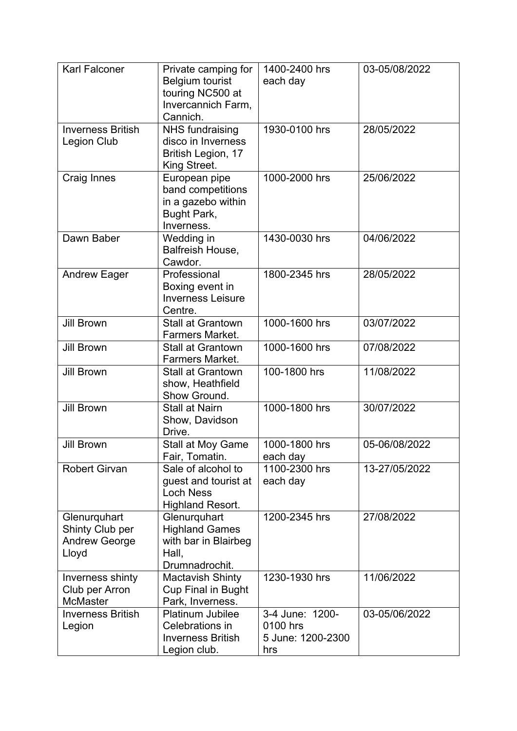| <b>Karl Falconer</b>                                             | Private camping for<br>Belgium tourist<br>touring NC500 at<br>Invercannich Farm,<br>Cannich. | 1400-2400 hrs<br>each day                               | 03-05/08/2022 |
|------------------------------------------------------------------|----------------------------------------------------------------------------------------------|---------------------------------------------------------|---------------|
| <b>Inverness British</b><br><b>Legion Club</b>                   | <b>NHS fundraising</b><br>disco in Inverness<br>British Legion, 17<br>King Street.           | 1930-0100 hrs                                           | 28/05/2022    |
| <b>Craig Innes</b>                                               | European pipe<br>band competitions<br>in a gazebo within<br>Bught Park,<br>Inverness.        | 1000-2000 hrs                                           | 25/06/2022    |
| Dawn Baber                                                       | Wedding in<br>Balfreish House,<br>Cawdor.                                                    | 1430-0030 hrs                                           | 04/06/2022    |
| <b>Andrew Eager</b>                                              | Professional<br>Boxing event in<br><b>Inverness Leisure</b><br>Centre.                       | 1800-2345 hrs                                           | 28/05/2022    |
| <b>Jill Brown</b>                                                | <b>Stall at Grantown</b><br>Farmers Market.                                                  | 1000-1600 hrs                                           | 03/07/2022    |
| <b>Jill Brown</b>                                                | <b>Stall at Grantown</b><br><b>Farmers Market.</b>                                           | 1000-1600 hrs                                           | 07/08/2022    |
| <b>Jill Brown</b>                                                | <b>Stall at Grantown</b><br>show, Heathfield<br>Show Ground.                                 | 100-1800 hrs                                            | 11/08/2022    |
| <b>Jill Brown</b>                                                | <b>Stall at Nairn</b><br>Show, Davidson<br>Drive.                                            | 1000-1800 hrs                                           | 30/07/2022    |
| <b>Jill Brown</b>                                                | Stall at Moy Game<br>Fair, Tomatin.                                                          | 1000-1800 hrs<br>each day                               | 05-06/08/2022 |
| <b>Robert Girvan</b>                                             | Sale of alcohol to<br>guest and tourist at<br><b>Loch Ness</b><br><b>Highland Resort.</b>    | 1100-2300 hrs<br>each day                               | 13-27/05/2022 |
| Glenurquhart<br>Shinty Club per<br><b>Andrew George</b><br>Lloyd | Glenurquhart<br><b>Highland Games</b><br>with bar in Blairbeg<br>Hall,<br>Drumnadrochit.     | 1200-2345 hrs                                           | 27/08/2022    |
| Inverness shinty<br>Club per Arron<br><b>McMaster</b>            | <b>Mactavish Shinty</b><br><b>Cup Final in Bught</b><br>Park, Inverness.                     | 1230-1930 hrs                                           | 11/06/2022    |
| <b>Inverness British</b><br>Legion                               | <b>Platinum Jubilee</b><br>Celebrations in<br><b>Inverness British</b><br>Legion club.       | 3-4 June: 1200-<br>0100 hrs<br>5 June: 1200-2300<br>hrs | 03-05/06/2022 |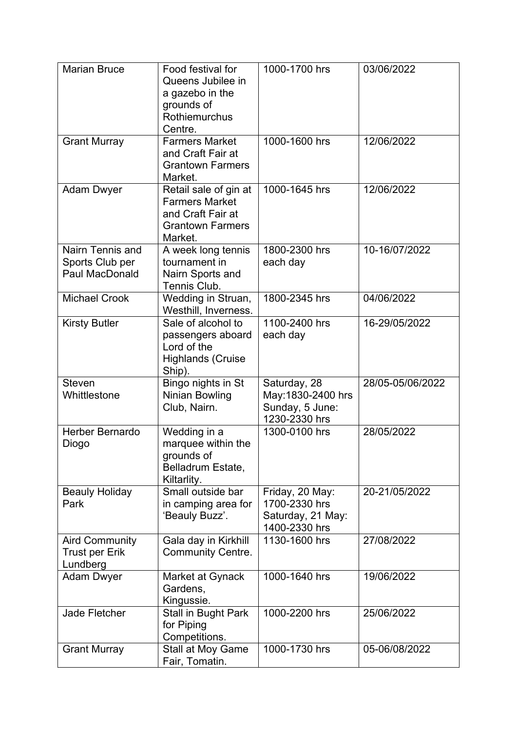| <b>Marian Bruce</b>                                        | Food festival for<br>Queens Jubilee in<br>a gazebo in the<br>grounds of<br>Rothiemurchus<br>Centre.       | 1000-1700 hrs                                                          | 03/06/2022       |
|------------------------------------------------------------|-----------------------------------------------------------------------------------------------------------|------------------------------------------------------------------------|------------------|
| <b>Grant Murray</b>                                        | <b>Farmers Market</b><br>and Craft Fair at<br><b>Grantown Farmers</b><br>Market.                          | 1000-1600 hrs                                                          | 12/06/2022       |
| <b>Adam Dwyer</b>                                          | Retail sale of gin at<br><b>Farmers Market</b><br>and Craft Fair at<br><b>Grantown Farmers</b><br>Market. | 1000-1645 hrs                                                          | 12/06/2022       |
| Nairn Tennis and<br>Sports Club per<br>Paul MacDonald      | A week long tennis<br>tournament in<br>Nairn Sports and<br>Tennis Club.                                   | 1800-2300 hrs<br>each day                                              | 10-16/07/2022    |
| <b>Michael Crook</b>                                       | Wedding in Struan,<br>Westhill, Inverness.                                                                | 1800-2345 hrs                                                          | 04/06/2022       |
| <b>Kirsty Butler</b>                                       | Sale of alcohol to<br>passengers aboard<br>Lord of the<br><b>Highlands (Cruise</b><br>Ship).              | 1100-2400 hrs<br>each day                                              | 16-29/05/2022    |
| <b>Steven</b><br>Whittlestone                              | Bingo nights in St<br><b>Ninian Bowling</b><br>Club, Nairn.                                               | Saturday, 28<br>May: 1830-2400 hrs<br>Sunday, 5 June:<br>1230-2330 hrs | 28/05-05/06/2022 |
| Herber Bernardo<br>Diogo                                   | Wedding in a<br>marquee within the<br>grounds of<br>Belladrum Estate,<br>Kiltarlity.                      | 1300-0100 hrs                                                          | 28/05/2022       |
| <b>Beauly Holiday</b><br>Park                              | Small outside bar<br>in camping area for<br>'Beauly Buzz'.                                                | Friday, 20 May:<br>1700-2330 hrs<br>Saturday, 21 May:<br>1400-2330 hrs | 20-21/05/2022    |
| <b>Aird Community</b><br><b>Trust per Erik</b><br>Lundberg | Gala day in Kirkhill<br><b>Community Centre.</b>                                                          | 1130-1600 hrs                                                          | 27/08/2022       |
| <b>Adam Dwyer</b>                                          | Market at Gynack<br>Gardens,<br>Kingussie.                                                                | 1000-1640 hrs                                                          | 19/06/2022       |
| Jade Fletcher                                              | Stall in Bught Park<br>for Piping<br>Competitions.                                                        | 1000-2200 hrs                                                          | 25/06/2022       |
| <b>Grant Murray</b>                                        | <b>Stall at Moy Game</b><br>Fair, Tomatin.                                                                | 1000-1730 hrs                                                          | 05-06/08/2022    |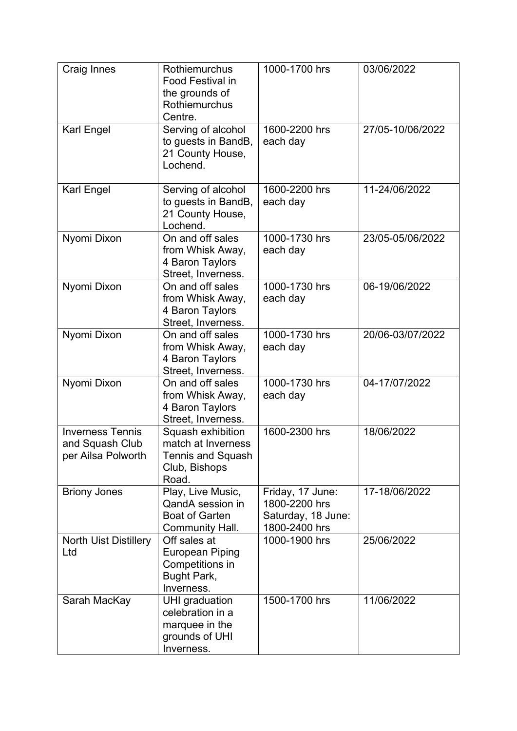| Craig Innes                                                      | Rothiemurchus<br><b>Food Festival in</b><br>the grounds of<br>Rothiemurchus<br>Centre. | 1000-1700 hrs                                                            | 03/06/2022       |
|------------------------------------------------------------------|----------------------------------------------------------------------------------------|--------------------------------------------------------------------------|------------------|
| Karl Engel                                                       | Serving of alcohol<br>to guests in BandB,<br>21 County House,<br>Lochend.              | 1600-2200 hrs<br>each day                                                | 27/05-10/06/2022 |
| Karl Engel                                                       | Serving of alcohol<br>to guests in BandB,<br>21 County House,<br>Lochend.              | 1600-2200 hrs<br>each day                                                | 11-24/06/2022    |
| Nyomi Dixon                                                      | On and off sales<br>from Whisk Away,<br>4 Baron Taylors<br>Street, Inverness.          | 1000-1730 hrs<br>each day                                                | 23/05-05/06/2022 |
| Nyomi Dixon                                                      | On and off sales<br>from Whisk Away,<br>4 Baron Taylors<br>Street, Inverness.          | 1000-1730 hrs<br>each day                                                | 06-19/06/2022    |
| Nyomi Dixon                                                      | On and off sales<br>from Whisk Away,<br>4 Baron Taylors<br>Street, Inverness.          | 1000-1730 hrs<br>each day                                                | 20/06-03/07/2022 |
| Nyomi Dixon                                                      | On and off sales<br>from Whisk Away,<br>4 Baron Taylors<br>Street, Inverness.          | 1000-1730 hrs<br>each day                                                | 04-17/07/2022    |
| <b>Inverness Tennis</b><br>and Squash Club<br>per Ailsa Polworth | Squash exhibition<br>match at Inverness<br>Tennis and Squash<br>Club, Bishops<br>Road. | 1600-2300 hrs                                                            | 18/06/2022       |
| <b>Briony Jones</b>                                              | Play, Live Music,<br>QandA session in<br><b>Boat of Garten</b><br>Community Hall.      | Friday, 17 June:<br>1800-2200 hrs<br>Saturday, 18 June:<br>1800-2400 hrs | 17-18/06/2022    |
| <b>North Uist Distillery</b><br>Ltd                              | Off sales at<br>European Piping<br>Competitions in<br>Bught Park,<br>Inverness.        | 1000-1900 hrs                                                            | 25/06/2022       |
| Sarah MacKay                                                     | UHI graduation<br>celebration in a<br>marquee in the<br>grounds of UHI<br>Inverness.   | 1500-1700 hrs                                                            | 11/06/2022       |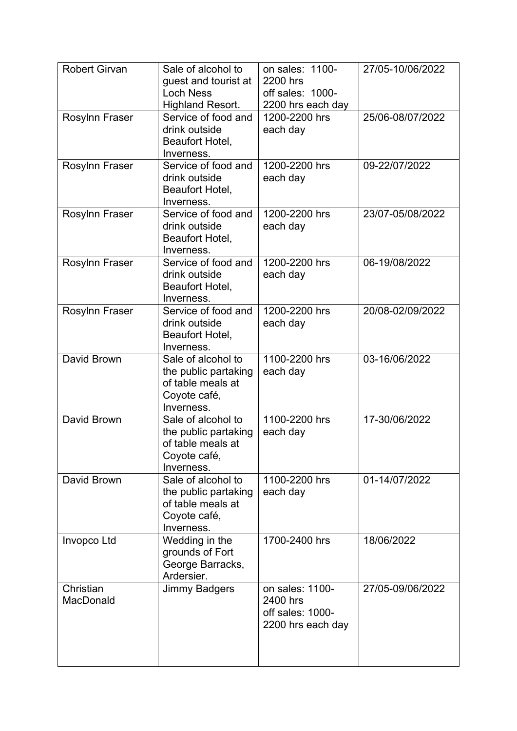| <b>Robert Girvan</b>   | Sale of alcohol to<br>guest and tourist at<br><b>Loch Ness</b><br><b>Highland Resort.</b>     | on sales: 1100-<br>2200 hrs<br>off sales: 1000-<br>2200 hrs each day | 27/05-10/06/2022 |
|------------------------|-----------------------------------------------------------------------------------------------|----------------------------------------------------------------------|------------------|
| Rosylnn Fraser         | Service of food and<br>drink outside<br>Beaufort Hotel,<br>Inverness.                         | 1200-2200 hrs<br>each day                                            | 25/06-08/07/2022 |
| Rosylnn Fraser         | Service of food and<br>drink outside<br>Beaufort Hotel,<br>Inverness.                         | 1200-2200 hrs<br>each day                                            | 09-22/07/2022    |
| Rosylnn Fraser         | Service of food and<br>drink outside<br>Beaufort Hotel,<br>Inverness.                         | 1200-2200 hrs<br>each day                                            | 23/07-05/08/2022 |
| Rosylnn Fraser         | Service of food and<br>drink outside<br>Beaufort Hotel,<br>Inverness.                         | 1200-2200 hrs<br>each day                                            | 06-19/08/2022    |
| Rosylnn Fraser         | Service of food and<br>drink outside<br>Beaufort Hotel,<br>Inverness.                         | 1200-2200 hrs<br>each day                                            | 20/08-02/09/2022 |
| David Brown            | Sale of alcohol to<br>the public partaking<br>of table meals at<br>Coyote café,<br>Inverness. | 1100-2200 hrs<br>each day                                            | 03-16/06/2022    |
| David Brown            | Sale of alcohol to<br>the public partaking<br>of table meals at<br>Coyote café,<br>Inverness. | 1100-2200 hrs<br>each day                                            | 17-30/06/2022    |
| David Brown            | Sale of alcohol to<br>the public partaking<br>of table meals at<br>Coyote café,<br>Inverness. | 1100-2200 hrs<br>each day                                            | 01-14/07/2022    |
| Invopco Ltd            | Wedding in the<br>grounds of Fort<br>George Barracks,<br>Ardersier.                           | 1700-2400 hrs                                                        | 18/06/2022       |
| Christian<br>MacDonald | <b>Jimmy Badgers</b>                                                                          | on sales: 1100-<br>2400 hrs<br>off sales: 1000-<br>2200 hrs each day | 27/05-09/06/2022 |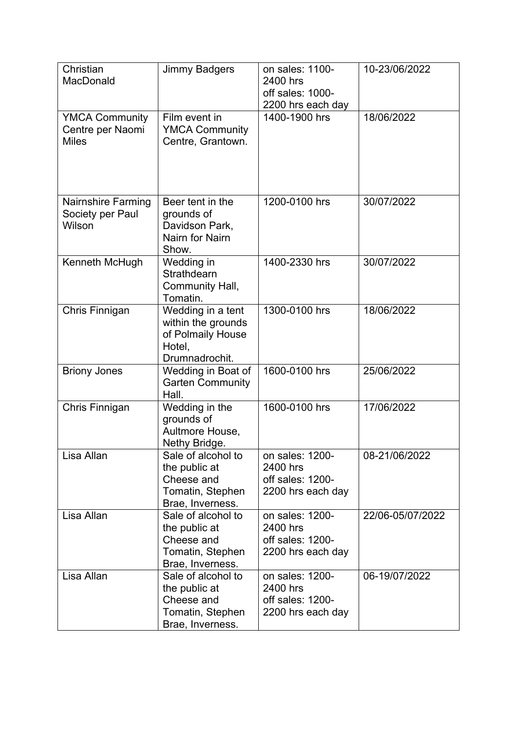| Christian<br>MacDonald                                    | <b>Jimmy Badgers</b>                                                                      | on sales: 1100-<br>2400 hrs<br>off sales: 1000-<br>2200 hrs each day | 10-23/06/2022    |
|-----------------------------------------------------------|-------------------------------------------------------------------------------------------|----------------------------------------------------------------------|------------------|
| <b>YMCA Community</b><br>Centre per Naomi<br><b>Miles</b> | Film event in<br><b>YMCA Community</b><br>Centre, Grantown.                               | 1400-1900 hrs                                                        | 18/06/2022       |
| <b>Nairnshire Farming</b><br>Society per Paul<br>Wilson   | Beer tent in the<br>grounds of<br>Davidson Park,<br><b>Nairn for Nairn</b><br>Show.       | 1200-0100 hrs                                                        | 30/07/2022       |
| Kenneth McHugh                                            | Wedding in<br>Strathdearn<br>Community Hall,<br>Tomatin.                                  | 1400-2330 hrs                                                        | 30/07/2022       |
| Chris Finnigan                                            | Wedding in a tent<br>within the grounds<br>of Polmaily House<br>Hotel,<br>Drumnadrochit.  | 1300-0100 hrs                                                        | 18/06/2022       |
| <b>Briony Jones</b>                                       | Wedding in Boat of<br><b>Garten Community</b><br>Hall.                                    | 1600-0100 hrs                                                        | 25/06/2022       |
| Chris Finnigan                                            | Wedding in the<br>grounds of<br>Aultmore House,<br>Nethy Bridge.                          | 1600-0100 hrs                                                        | 17/06/2022       |
| Lisa Allan                                                | Sale of alcohol to<br>the public at<br>Cheese and<br>Tomatin, Stephen<br>Brae, Inverness. | on sales: 1200-<br>2400 hrs<br>off sales: 1200-<br>2200 hrs each day | 08-21/06/2022    |
| Lisa Allan                                                | Sale of alcohol to<br>the public at<br>Cheese and<br>Tomatin, Stephen<br>Brae, Inverness. | on sales: 1200-<br>2400 hrs<br>off sales: 1200-<br>2200 hrs each day | 22/06-05/07/2022 |
| Lisa Allan                                                | Sale of alcohol to<br>the public at<br>Cheese and<br>Tomatin, Stephen<br>Brae, Inverness. | on sales: 1200-<br>2400 hrs<br>off sales: 1200-<br>2200 hrs each day | 06-19/07/2022    |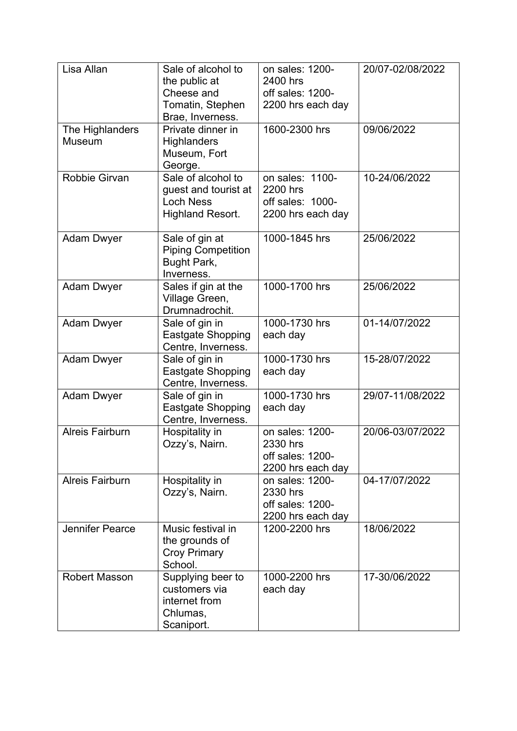| Lisa Allan                | Sale of alcohol to<br>the public at<br>Cheese and<br>Tomatin, Stephen<br>Brae, Inverness. | on sales: 1200-<br>2400 hrs<br>off sales: 1200-<br>2200 hrs each day | 20/07-02/08/2022 |
|---------------------------|-------------------------------------------------------------------------------------------|----------------------------------------------------------------------|------------------|
| The Highlanders<br>Museum | Private dinner in<br><b>Highlanders</b><br>Museum, Fort<br>George.                        | 1600-2300 hrs                                                        | 09/06/2022       |
| Robbie Girvan             | Sale of alcohol to<br>guest and tourist at<br><b>Loch Ness</b><br><b>Highland Resort.</b> | on sales: 1100-<br>2200 hrs<br>off sales: 1000-<br>2200 hrs each day | 10-24/06/2022    |
| <b>Adam Dwyer</b>         | Sale of gin at<br><b>Piping Competition</b><br>Bught Park,<br>Inverness.                  | 1000-1845 hrs                                                        | 25/06/2022       |
| <b>Adam Dwyer</b>         | Sales if gin at the<br>Village Green,<br>Drumnadrochit.                                   | 1000-1700 hrs                                                        | 25/06/2022       |
| <b>Adam Dwyer</b>         | Sale of gin in<br><b>Eastgate Shopping</b><br>Centre, Inverness.                          | 1000-1730 hrs<br>each day                                            | 01-14/07/2022    |
| <b>Adam Dwyer</b>         | Sale of gin in<br><b>Eastgate Shopping</b><br>Centre, Inverness.                          | 1000-1730 hrs<br>each day                                            | 15-28/07/2022    |
| <b>Adam Dwyer</b>         | Sale of gin in<br>Eastgate Shopping<br>Centre, Inverness.                                 | 1000-1730 hrs<br>each day                                            | 29/07-11/08/2022 |
| <b>Alreis Fairburn</b>    | Hospitality in<br>Ozzy's, Nairn.                                                          | on sales: 1200-<br>2330 hrs<br>off sales: 1200-<br>2200 hrs each day | 20/06-03/07/2022 |
| <b>Alreis Fairburn</b>    | Hospitality in<br>Ozzy's, Nairn.                                                          | on sales: 1200-<br>2330 hrs<br>off sales: 1200-<br>2200 hrs each day | 04-17/07/2022    |
| <b>Jennifer Pearce</b>    | Music festival in<br>the grounds of<br><b>Croy Primary</b><br>School.                     | 1200-2200 hrs                                                        | 18/06/2022       |
| <b>Robert Masson</b>      | Supplying beer to<br>customers via<br>internet from<br>Chlumas,<br>Scaniport.             | 1000-2200 hrs<br>each day                                            | 17-30/06/2022    |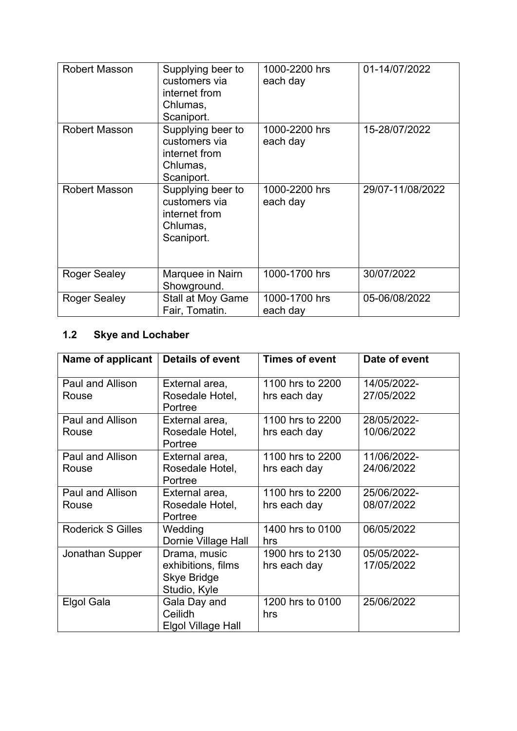| <b>Robert Masson</b> | Supplying beer to<br>customers via<br>internet from<br>Chlumas,<br>Scaniport. | 1000-2200 hrs<br>each day | 01-14/07/2022    |
|----------------------|-------------------------------------------------------------------------------|---------------------------|------------------|
| <b>Robert Masson</b> | Supplying beer to<br>customers via<br>internet from<br>Chlumas,<br>Scaniport. | 1000-2200 hrs<br>each day | 15-28/07/2022    |
| <b>Robert Masson</b> | Supplying beer to<br>customers via<br>internet from<br>Chlumas,<br>Scaniport. | 1000-2200 hrs<br>each day | 29/07-11/08/2022 |
| <b>Roger Sealey</b>  | Marquee in Nairn<br>Showground.                                               | 1000-1700 hrs             | 30/07/2022       |
| <b>Roger Sealey</b>  | <b>Stall at Moy Game</b><br>Fair, Tomatin.                                    | 1000-1700 hrs<br>each day | 05-06/08/2022    |

# **1.2 Skye and Lochaber**

| Name of applicant                | <b>Details of event</b>                                                  | <b>Times of event</b>            | Date of event             |
|----------------------------------|--------------------------------------------------------------------------|----------------------------------|---------------------------|
| Paul and Allison<br>Rouse        | External area,<br>Rosedale Hotel,<br>Portree                             | 1100 hrs to 2200<br>hrs each day | 14/05/2022-<br>27/05/2022 |
| <b>Paul and Allison</b><br>Rouse | External area,<br>Rosedale Hotel,<br>Portree                             | 1100 hrs to 2200<br>hrs each day | 28/05/2022-<br>10/06/2022 |
| Paul and Allison<br>Rouse        | External area,<br>Rosedale Hotel,<br>Portree                             | 1100 hrs to 2200<br>hrs each day | 11/06/2022-<br>24/06/2022 |
| Paul and Allison<br>Rouse        | External area,<br>Rosedale Hotel,<br>Portree                             | 1100 hrs to 2200<br>hrs each day | 25/06/2022-<br>08/07/2022 |
| <b>Roderick S Gilles</b>         | Wedding<br>Dornie Village Hall                                           | 1400 hrs to 0100<br>hrs          | 06/05/2022                |
| Jonathan Supper                  | Drama, music<br>exhibitions, films<br><b>Skye Bridge</b><br>Studio, Kyle | 1900 hrs to 2130<br>hrs each day | 05/05/2022-<br>17/05/2022 |
| Elgol Gala                       | Gala Day and<br>Ceilidh<br>Elgol Village Hall                            | 1200 hrs to 0100<br>hrs          | 25/06/2022                |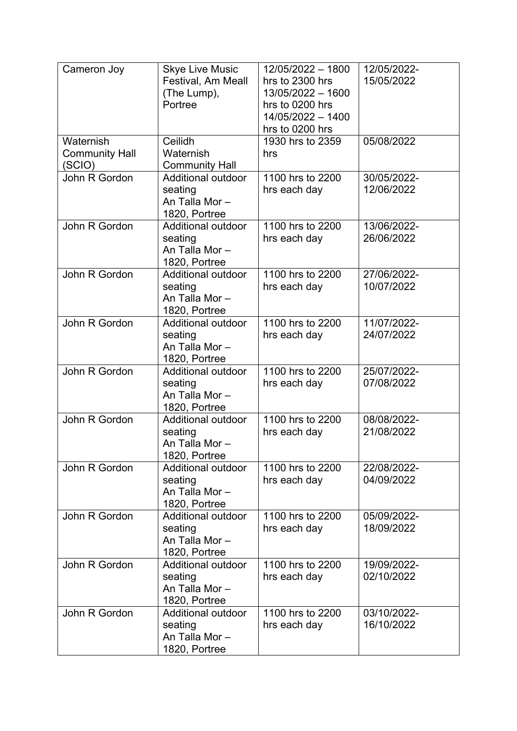| Cameron Joy                                  | <b>Skye Live Music</b><br>Festival, Am Meall<br>(The Lump),<br>Portree | 12/05/2022 - 1800<br>hrs to 2300 hrs<br>13/05/2022 - 1600<br>hrs to 0200 hrs<br>14/05/2022 - 1400<br>hrs to 0200 hrs | 12/05/2022-<br>15/05/2022 |
|----------------------------------------------|------------------------------------------------------------------------|----------------------------------------------------------------------------------------------------------------------|---------------------------|
| Waternish<br><b>Community Hall</b><br>(SCIO) | Ceilidh<br>Waternish<br><b>Community Hall</b>                          | 1930 hrs to 2359<br>hrs                                                                                              | 05/08/2022                |
| John R Gordon                                | Additional outdoor<br>seating<br>An Talla Mor-<br>1820, Portree        | 1100 hrs to 2200<br>hrs each day                                                                                     | 30/05/2022-<br>12/06/2022 |
| John R Gordon                                | Additional outdoor<br>seating<br>An Talla Mor-<br>1820, Portree        | 1100 hrs to 2200<br>hrs each day                                                                                     | 13/06/2022-<br>26/06/2022 |
| John R Gordon                                | Additional outdoor<br>seating<br>An Talla Mor-<br>1820, Portree        | 1100 hrs to 2200<br>hrs each day                                                                                     | 27/06/2022-<br>10/07/2022 |
| John R Gordon                                | Additional outdoor<br>seating<br>An Talla Mor-<br>1820, Portree        | 1100 hrs to 2200<br>hrs each day                                                                                     | 11/07/2022-<br>24/07/2022 |
| John R Gordon                                | Additional outdoor<br>seating<br>An Talla Mor-<br>1820, Portree        | 1100 hrs to 2200<br>hrs each day                                                                                     | 25/07/2022-<br>07/08/2022 |
| John R Gordon                                | Additional outdoor<br>seating<br>An Talla Mor-<br>1820, Portree        | 1100 hrs to 2200<br>hrs each day                                                                                     | 08/08/2022-<br>21/08/2022 |
| John R Gordon                                | Additional outdoor<br>seating<br>An Talla Mor-<br>1820, Portree        | 1100 hrs to 2200<br>hrs each day                                                                                     | 22/08/2022-<br>04/09/2022 |
| John R Gordon                                | Additional outdoor<br>seating<br>An Talla Mor-<br>1820, Portree        | 1100 hrs to 2200<br>hrs each day                                                                                     | 05/09/2022-<br>18/09/2022 |
| John R Gordon                                | Additional outdoor<br>seating<br>An Talla Mor-<br>1820, Portree        | 1100 hrs to 2200<br>hrs each day                                                                                     | 19/09/2022-<br>02/10/2022 |
| John R Gordon                                | <b>Additional outdoor</b><br>seating<br>An Talla Mor-<br>1820, Portree | 1100 hrs to 2200<br>hrs each day                                                                                     | 03/10/2022-<br>16/10/2022 |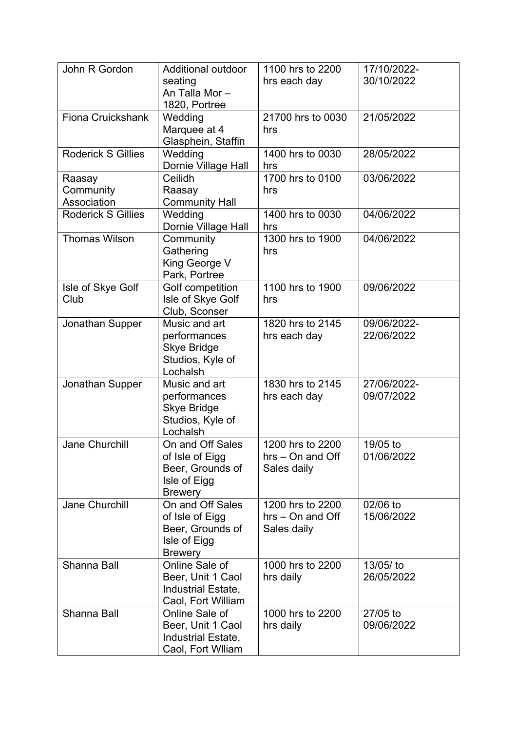| John R Gordon                      | <b>Additional outdoor</b><br>seating                                                      | 1100 hrs to 2200<br>hrs each day                      | 17/10/2022-<br>30/10/2022 |
|------------------------------------|-------------------------------------------------------------------------------------------|-------------------------------------------------------|---------------------------|
|                                    | An Talla Mor-<br>1820, Portree                                                            |                                                       |                           |
| Fiona Cruickshank                  | Wedding<br>Marquee at 4<br>Glasphein, Staffin                                             | 21700 hrs to 0030<br>hrs                              | 21/05/2022                |
| <b>Roderick S Gillies</b>          | Wedding<br>Dornie Village Hall                                                            | 1400 hrs to 0030<br>hrs                               | 28/05/2022                |
| Raasay<br>Community<br>Association | Ceilidh<br>Raasay<br><b>Community Hall</b>                                                | 1700 hrs to 0100<br>hrs                               | 03/06/2022                |
| <b>Roderick S Gillies</b>          | Wedding<br>Dornie Village Hall                                                            | 1400 hrs to 0030<br>hrs                               | 04/06/2022                |
| <b>Thomas Wilson</b>               | Community<br>Gathering<br>King George V<br>Park, Portree                                  | 1300 hrs to 1900<br>hrs                               | 04/06/2022                |
| Isle of Skye Golf<br>Club          | Golf competition<br>Isle of Skye Golf<br>Club, Sconser                                    | 1100 hrs to 1900<br>hrs                               | 09/06/2022                |
| Jonathan Supper                    | Music and art<br>performances<br><b>Skye Bridge</b><br>Studios, Kyle of<br>Lochalsh       | 1820 hrs to 2145<br>hrs each day                      | 09/06/2022-<br>22/06/2022 |
| Jonathan Supper                    | Music and art<br>performances<br><b>Skye Bridge</b><br>Studios, Kyle of<br>Lochalsh       | 1830 hrs to 2145<br>hrs each day                      | 27/06/2022-<br>09/07/2022 |
| <b>Jane Churchill</b>              | On and Off Sales<br>of Isle of Eigg<br>Beer, Grounds of<br>Isle of Eigg<br><b>Brewery</b> | 1200 hrs to 2200<br>$hrs - On$ and Off<br>Sales daily | 19/05 to<br>01/06/2022    |
| <b>Jane Churchill</b>              | On and Off Sales<br>of Isle of Eigg<br>Beer, Grounds of<br>Isle of Eigg<br><b>Brewery</b> | 1200 hrs to 2200<br>$hrs - On$ and Off<br>Sales daily | 02/06 to<br>15/06/2022    |
| <b>Shanna Ball</b>                 | Online Sale of<br>Beer, Unit 1 Caol<br>Industrial Estate,<br>Caol, Fort William           | 1000 hrs to 2200<br>hrs daily                         | 13/05/ to<br>26/05/2022   |
| Shanna Ball                        | Online Sale of<br>Beer, Unit 1 Caol<br>Industrial Estate,<br>Caol, Fort William           | 1000 hrs to 2200<br>hrs daily                         | 27/05 to<br>09/06/2022    |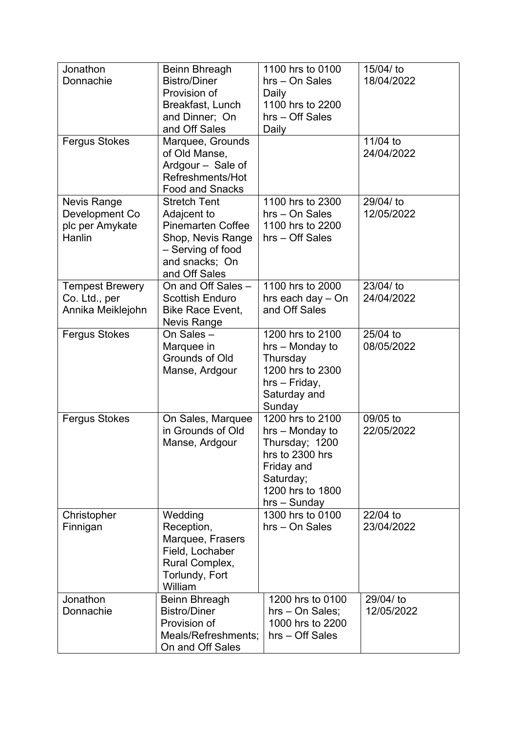| Jonathon<br>Donnachie                                        | <b>Beinn Bhreagh</b><br><b>Bistro/Diner</b><br>Provision of<br>Breakfast, Lunch<br>and Dinner; On<br>and Off Sales                          | 1100 hrs to 0100<br>hrs - On Sales<br>Daily<br>1100 hrs to 2200<br>hrs - Off Sales<br>Daily                                               | 15/04/ to<br>18/04/2022 |
|--------------------------------------------------------------|---------------------------------------------------------------------------------------------------------------------------------------------|-------------------------------------------------------------------------------------------------------------------------------------------|-------------------------|
| <b>Fergus Stokes</b>                                         | Marquee, Grounds<br>of Old Manse,<br>Ardgour - Sale of<br>Refreshments/Hot<br><b>Food and Snacks</b>                                        |                                                                                                                                           | 11/04 to<br>24/04/2022  |
| Nevis Range<br>Development Co<br>plc per Amykate<br>Hanlin   | <b>Stretch Tent</b><br>Adajcent to<br><b>Pinemarten Coffee</b><br>Shop, Nevis Range<br>- Serving of food<br>and snacks; On<br>and Off Sales | 1100 hrs to 2300<br>hrs - On Sales<br>1100 hrs to 2200<br>hrs - Off Sales                                                                 | 29/04/ to<br>12/05/2022 |
| <b>Tempest Brewery</b><br>Co. Ltd., per<br>Annika Meiklejohn | On and Off Sales -<br><b>Scottish Enduro</b><br>Bike Race Event,<br><b>Nevis Range</b>                                                      | 1100 hrs to 2000<br>hrs each day - On<br>and Off Sales                                                                                    | 23/04/ to<br>24/04/2022 |
| <b>Fergus Stokes</b>                                         | On Sales-<br>Marquee in<br><b>Grounds of Old</b><br>Manse, Ardgour                                                                          | 1200 hrs to 2100<br>hrs - Monday to<br>Thursday<br>1200 hrs to 2300<br>hrs - Friday,<br>Saturday and<br>Sunday                            | 25/04 to<br>08/05/2022  |
| <b>Fergus Stokes</b>                                         | On Sales, Marquee<br>in Grounds of Old<br>Manse, Ardgour                                                                                    | 1200 hrs to 2100<br>hrs - Monday to<br>Thursday; 1200<br>hrs to 2300 hrs<br>Friday and<br>Saturday;<br>1200 hrs to 1800<br>$hrs - Sunday$ | 09/05 to<br>22/05/2022  |
| Christopher<br>Finnigan                                      | Wedding<br>Reception,<br>Marquee, Frasers<br>Field, Lochaber<br>Rural Complex,<br>Torlundy, Fort<br>William                                 | 1300 hrs to 0100<br>hrs - On Sales                                                                                                        | 22/04 to<br>23/04/2022  |
| Jonathon<br>Donnachie                                        | <b>Beinn Bhreagh</b><br><b>Bistro/Diner</b><br>Provision of<br>Meals/Refreshments;<br>On and Off Sales                                      | 1200 hrs to 0100<br>hrs - On Sales;<br>1000 hrs to 2200<br>hrs - Off Sales                                                                | 29/04/ to<br>12/05/2022 |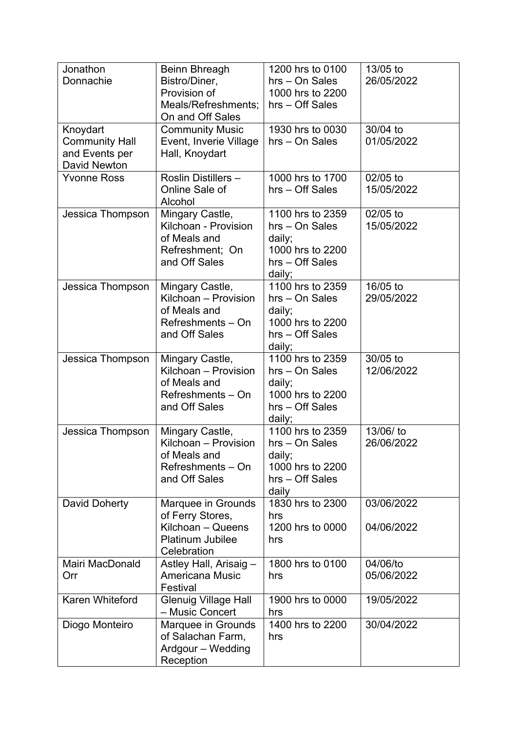| Jonathon<br>Donnachie                                                      | Beinn Bhreagh<br>Bistro/Diner,<br>Provision of<br>Meals/Refreshments;<br>On and Off Sales             | 1200 hrs to 0100<br>hrs - On Sales<br>1000 hrs to 2200<br>hrs - Off Sales                     | 13/05 to<br>26/05/2022   |
|----------------------------------------------------------------------------|-------------------------------------------------------------------------------------------------------|-----------------------------------------------------------------------------------------------|--------------------------|
| Knoydart<br><b>Community Hall</b><br>and Events per<br><b>David Newton</b> | <b>Community Music</b><br>Event, Inverie Village<br>Hall, Knoydart                                    | 1930 hrs to 0030<br>hrs - On Sales                                                            | 30/04 to<br>01/05/2022   |
| <b>Yvonne Ross</b>                                                         | Roslin Distillers-<br>Online Sale of<br>Alcohol                                                       | 1000 hrs to 1700<br>hrs - Off Sales                                                           | 02/05 to<br>15/05/2022   |
| Jessica Thompson                                                           | Mingary Castle,<br>Kilchoan - Provision<br>of Meals and<br>Refreshment; On<br>and Off Sales           | 1100 hrs to 2359<br>hrs - On Sales<br>daily;<br>1000 hrs to 2200<br>hrs - Off Sales<br>daily; | 02/05 to<br>15/05/2022   |
| Jessica Thompson                                                           | Mingary Castle,<br>Kilchoan - Provision<br>of Meals and<br>Refreshments - On<br>and Off Sales         | 1100 hrs to 2359<br>hrs - On Sales<br>daily;<br>1000 hrs to 2200<br>hrs - Off Sales<br>daily; | 16/05 to<br>29/05/2022   |
| Jessica Thompson                                                           | Mingary Castle,<br>Kilchoan - Provision<br>of Meals and<br>Refreshments - On<br>and Off Sales         | 1100 hrs to 2359<br>hrs - On Sales<br>daily;<br>1000 hrs to 2200<br>hrs - Off Sales<br>daily; | 30/05 to<br>12/06/2022   |
| Jessica Thompson                                                           | Mingary Castle,<br>Kilchoan - Provision<br>of Meals and<br>Refreshments - On<br>and Off Sales         | 1100 hrs to 2359<br>hrs - On Sales<br>daily;<br>1000 hrs to 2200<br>hrs - Off Sales<br>daily  | 13/06/ to<br>26/06/2022  |
| David Doherty                                                              | Marquee in Grounds<br>of Ferry Stores,<br>Kilchoan - Queens<br><b>Platinum Jubilee</b><br>Celebration | 1830 hrs to 2300<br>hrs<br>1200 hrs to 0000<br>hrs                                            | 03/06/2022<br>04/06/2022 |
| Mairi MacDonald<br>Orr                                                     | Astley Hall, Arisaig -<br>Americana Music<br>Festival                                                 | 1800 hrs to 0100<br>hrs                                                                       | 04/06/to<br>05/06/2022   |
| <b>Karen Whiteford</b>                                                     | Glenuig Village Hall<br>- Music Concert                                                               | 1900 hrs to 0000<br>hrs                                                                       | 19/05/2022               |
| Diogo Monteiro                                                             | Marquee in Grounds<br>of Salachan Farm,<br>Ardgour - Wedding<br>Reception                             | 1400 hrs to 2200<br>hrs                                                                       | 30/04/2022               |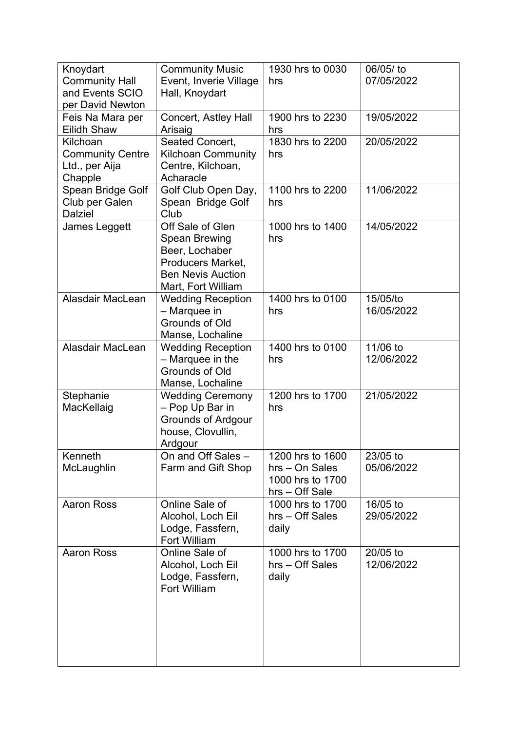| Knoydart<br><b>Community Hall</b><br>and Events SCIO<br>per David Newton | <b>Community Music</b><br>Event, Inverie Village<br>Hall, Knoydart                                                                | 1930 hrs to 0030<br>hrs                                                  | 06/05/ to<br>07/05/2022  |
|--------------------------------------------------------------------------|-----------------------------------------------------------------------------------------------------------------------------------|--------------------------------------------------------------------------|--------------------------|
| Feis Na Mara per<br><b>Eilidh Shaw</b>                                   | Concert, Astley Hall<br>Arisaig                                                                                                   | 1900 hrs to 2230<br>hrs                                                  | 19/05/2022               |
| Kilchoan<br><b>Community Centre</b><br>Ltd., per Aija<br>Chapple         | Seated Concert,<br><b>Kilchoan Community</b><br>Centre, Kilchoan,<br>Acharacle                                                    | 1830 hrs to 2200<br>hrs                                                  | 20/05/2022               |
| Spean Bridge Golf<br>Club per Galen<br><b>Dalziel</b>                    | Golf Club Open Day,<br>Spean Bridge Golf<br>Club                                                                                  | 1100 hrs to 2200<br>hrs                                                  | 11/06/2022               |
| James Leggett                                                            | Off Sale of Glen<br>Spean Brewing<br>Beer, Lochaber<br><b>Producers Market,</b><br><b>Ben Nevis Auction</b><br>Mart, Fort William | 1000 hrs to 1400<br>hrs                                                  | 14/05/2022               |
| Alasdair MacLean                                                         | <b>Wedding Reception</b><br>- Marquee in<br><b>Grounds of Old</b><br>Manse, Lochaline                                             | 1400 hrs to 0100<br>hrs                                                  | 15/05/to<br>16/05/2022   |
| Alasdair MacLean                                                         | <b>Wedding Reception</b><br>- Marquee in the<br><b>Grounds of Old</b><br>Manse, Lochaline                                         | 1400 hrs to 0100<br>hrs                                                  | 11/06 to<br>12/06/2022   |
| Stephanie<br>MacKellaig                                                  | <b>Wedding Ceremony</b><br>- Pop Up Bar in<br><b>Grounds of Ardgour</b><br>house, Clovullin,<br>Ardgour                           | 1200 hrs to 1700<br>hrs                                                  | 21/05/2022               |
| Kenneth<br>McLaughlin                                                    | On and Off Sales -<br>Farm and Gift Shop                                                                                          | 1200 hrs to 1600<br>hrs - On Sales<br>1000 hrs to 1700<br>hrs - Off Sale | 23/05 to<br>05/06/2022   |
| <b>Aaron Ross</b>                                                        | Online Sale of<br>Alcohol, Loch Eil<br>Lodge, Fassfern,<br><b>Fort William</b>                                                    | 1000 hrs to 1700<br>hrs - Off Sales<br>daily                             | 16/05 to<br>29/05/2022   |
| <b>Aaron Ross</b>                                                        | Online Sale of<br>Alcohol, Loch Eil<br>Lodge, Fassfern,<br><b>Fort William</b>                                                    | 1000 hrs to 1700<br>hrs - Off Sales<br>daily                             | $20/05$ to<br>12/06/2022 |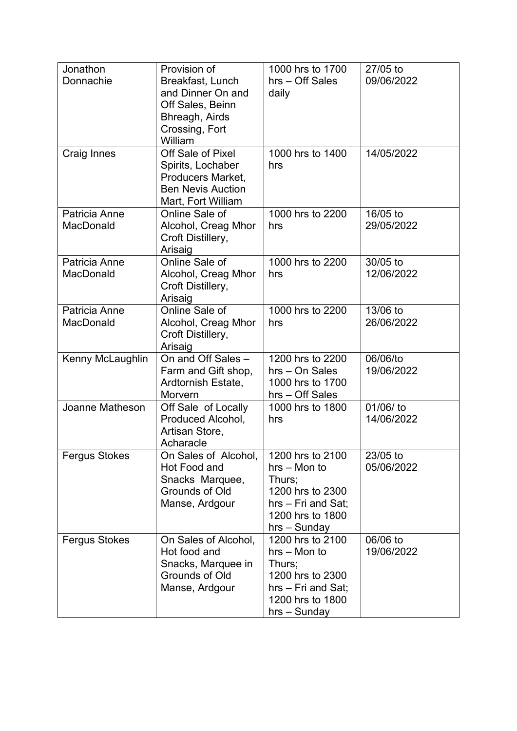| Jonathon<br>Donnachie<br>Craig Innes | Provision of<br>Breakfast, Lunch<br>and Dinner On and<br>Off Sales, Beinn<br>Bhreagh, Airds<br>Crossing, Fort<br>William<br>Off Sale of Pixel | 1000 hrs to 1700<br>hrs - Off Sales<br>daily<br>1000 hrs to 1400                                                             | 27/05 to<br>09/06/2022<br>14/05/2022 |
|--------------------------------------|-----------------------------------------------------------------------------------------------------------------------------------------------|------------------------------------------------------------------------------------------------------------------------------|--------------------------------------|
|                                      | Spirits, Lochaber<br>Producers Market,<br><b>Ben Nevis Auction</b><br>Mart, Fort William                                                      | hrs                                                                                                                          |                                      |
| Patricia Anne<br><b>MacDonald</b>    | Online Sale of<br>Alcohol, Creag Mhor<br>Croft Distillery,<br>Arisaig                                                                         | 1000 hrs to 2200<br>hrs                                                                                                      | 16/05 to<br>29/05/2022               |
| Patricia Anne<br>MacDonald           | Online Sale of<br>Alcohol, Creag Mhor<br>Croft Distillery,<br>Arisaig                                                                         | 1000 hrs to 2200<br>hrs                                                                                                      | 30/05 to<br>12/06/2022               |
| Patricia Anne<br>MacDonald           | Online Sale of<br>Alcohol, Creag Mhor<br>Croft Distillery,<br>Arisaig                                                                         | 1000 hrs to 2200<br>hrs                                                                                                      | 13/06 to<br>26/06/2022               |
| Kenny McLaughlin                     | On and Off Sales -<br>Farm and Gift shop,<br>Ardtornish Estate,<br>Morvern                                                                    | 1200 hrs to 2200<br>hrs - On Sales<br>1000 hrs to 1700<br>hrs - Off Sales                                                    | 06/06/to<br>19/06/2022               |
| Joanne Matheson                      | Off Sale of Locally<br>Produced Alcohol,<br>Artisan Store,<br>Acharacle                                                                       | 1000 hrs to 1800<br>hrs                                                                                                      | 01/06/ to<br>14/06/2022              |
| <b>Fergus Stokes</b>                 | On Sales of Alcohol,<br>Hot Food and<br>Snacks Marquee,<br>Grounds of Old<br>Manse, Ardgour                                                   | 1200 hrs to 2100<br>$hrs - Mon$ to<br>Thurs;<br>1200 hrs to 2300<br>hrs – Fri and Sat;<br>1200 hrs to 1800<br>$hrs - Sunday$ | 23/05 to<br>05/06/2022               |
| <b>Fergus Stokes</b>                 | On Sales of Alcohol,<br>Hot food and<br>Snacks, Marquee in<br>Grounds of Old<br>Manse, Ardgour                                                | 1200 hrs to 2100<br>hrs – Mon to<br>Thurs;<br>1200 hrs to 2300<br>hrs - Fri and Sat;<br>1200 hrs to 1800<br>$hrs - Sunday$   | 06/06 to<br>19/06/2022               |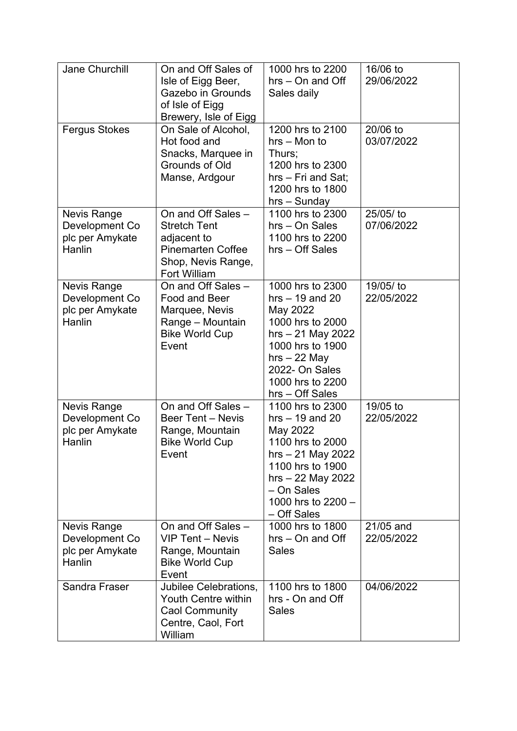| <b>Jane Churchill</b>                                             | On and Off Sales of<br>Isle of Eigg Beer,<br>Gazebo in Grounds<br>of Isle of Eigg<br>Brewery, Isle of Eigg                        | 1000 hrs to 2200<br>$hrs - On$ and Off<br>Sales daily                                                                                                                                      | 16/06 to<br>29/06/2022  |
|-------------------------------------------------------------------|-----------------------------------------------------------------------------------------------------------------------------------|--------------------------------------------------------------------------------------------------------------------------------------------------------------------------------------------|-------------------------|
| <b>Fergus Stokes</b>                                              | On Sale of Alcohol,<br>Hot food and<br>Snacks, Marquee in<br>Grounds of Old<br>Manse, Ardgour                                     | 1200 hrs to 2100<br>hrs - Mon to<br>Thurs;<br>1200 hrs to 2300<br>hrs - Fri and Sat;<br>1200 hrs to 1800<br>$hrs - Sunday$                                                                 | 20/06 to<br>03/07/2022  |
| <b>Nevis Range</b><br>Development Co<br>plc per Amykate<br>Hanlin | On and Off Sales -<br><b>Stretch Tent</b><br>adjacent to<br><b>Pinemarten Coffee</b><br>Shop, Nevis Range,<br><b>Fort William</b> | 1100 hrs to 2300<br>hrs - On Sales<br>1100 hrs to 2200<br>hrs - Off Sales                                                                                                                  | 25/05/ to<br>07/06/2022 |
| <b>Nevis Range</b><br>Development Co<br>plc per Amykate<br>Hanlin | On and Off Sales -<br>Food and Beer<br>Marquee, Nevis<br>Range - Mountain<br><b>Bike World Cup</b><br>Event                       | 1000 hrs to 2300<br>hrs $-19$ and 20<br>May 2022<br>1000 hrs to 2000<br>$hrs - 21$ May 2022<br>1000 hrs to 1900<br>$hrs - 22$ May<br>2022- On Sales<br>1000 hrs to 2200<br>hrs - Off Sales | 19/05/ to<br>22/05/2022 |
| <b>Nevis Range</b><br>Development Co<br>plc per Amykate<br>Hanlin | On and Off Sales -<br><b>Beer Tent - Nevis</b><br>Range, Mountain<br><b>Bike World Cup</b><br>Event                               | 1100 hrs to 2300<br>$hrs - 19$ and 20<br>May 2022<br>1100 hrs to 2000<br>$hrs - 21$ May 2022<br>1100 hrs to 1900<br>hrs - 22 May 2022<br>- On Sales<br>1000 hrs to 2200 -<br>- Off Sales   | 19/05 to<br>22/05/2022  |
| Nevis Range<br>Development Co<br>plc per Amykate<br><b>Hanlin</b> | On and Off Sales -<br>VIP Tent - Nevis<br>Range, Mountain<br><b>Bike World Cup</b><br>Event                                       | 1000 hrs to 1800<br>$hrs - On$ and Off<br><b>Sales</b>                                                                                                                                     | 21/05 and<br>22/05/2022 |
| Sandra Fraser                                                     | Jubilee Celebrations,<br>Youth Centre within<br><b>Caol Community</b><br>Centre, Caol, Fort<br>William                            | 1100 hrs to 1800<br>hrs - On and Off<br><b>Sales</b>                                                                                                                                       | 04/06/2022              |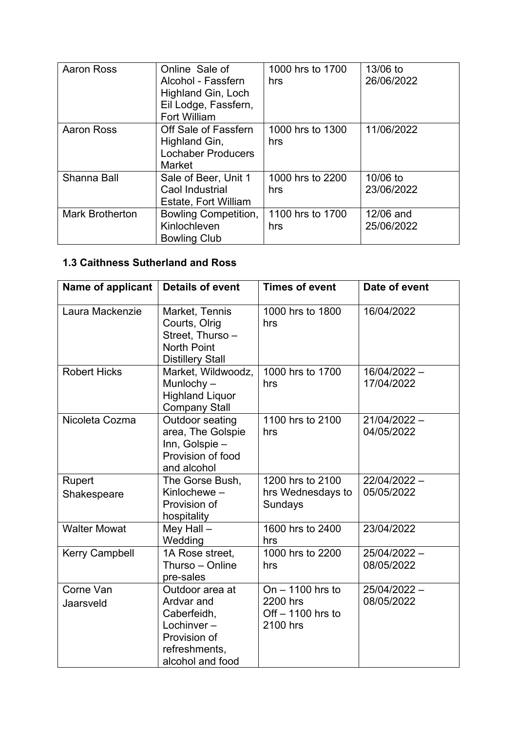| <b>Aaron Ross</b>      | Online Sale of<br>Alcohol - Fassfern<br>Highland Gin, Loch<br>Eil Lodge, Fassfern,<br><b>Fort William</b> | 1000 hrs to 1700<br>hrs | 13/06 to<br>26/06/2022  |
|------------------------|-----------------------------------------------------------------------------------------------------------|-------------------------|-------------------------|
| <b>Aaron Ross</b>      | Off Sale of Fassfern<br>Highland Gin,<br><b>Lochaber Producers</b><br><b>Market</b>                       | 1000 hrs to 1300<br>hrs | 11/06/2022              |
| Shanna Ball            | Sale of Beer, Unit 1<br>Caol Industrial<br><b>Estate, Fort William</b>                                    | 1000 hrs to 2200<br>hrs | 10/06 to<br>23/06/2022  |
| <b>Mark Brotherton</b> | Bowling Competition,<br>Kinlochleven<br><b>Bowling Club</b>                                               | 1100 hrs to 1700<br>hrs | 12/06 and<br>25/06/2022 |

# **1.3 Caithness Sutherland and Ross**

| Name of applicant      | <b>Details of event</b>                                                                                         | <b>Times of event</b>                                            | Date of event                |
|------------------------|-----------------------------------------------------------------------------------------------------------------|------------------------------------------------------------------|------------------------------|
| Laura Mackenzie        | Market, Tennis<br>Courts, Olrig<br>Street, Thurso -<br><b>North Point</b><br><b>Distillery Stall</b>            | 1000 hrs to 1800<br>hrs                                          | 16/04/2022                   |
| <b>Robert Hicks</b>    | Market, Wildwoodz,<br>Munlochy $-$<br><b>Highland Liquor</b><br><b>Company Stall</b>                            | 1000 hrs to 1700<br>hrs                                          | 16/04/2022 -<br>17/04/2022   |
| Nicoleta Cozma         | Outdoor seating<br>area, The Golspie<br>Inn, Golspie -<br>Provision of food<br>and alcohol                      | 1100 hrs to 2100<br>hrs                                          | $21/04/2022 -$<br>04/05/2022 |
| Rupert<br>Shakespeare  | The Gorse Bush,<br>Kinlochewe-<br>Provision of<br>hospitality                                                   | 1200 hrs to 2100<br>hrs Wednesdays to<br>Sundays                 | 22/04/2022 -<br>05/05/2022   |
| <b>Walter Mowat</b>    | Mey Hall $-$<br>Wedding                                                                                         | 1600 hrs to 2400<br>hrs                                          | 23/04/2022                   |
| <b>Kerry Campbell</b>  | 1A Rose street.<br>Thurso - Online<br>pre-sales                                                                 | 1000 hrs to 2200<br>hrs                                          | 25/04/2022 -<br>08/05/2022   |
| Corne Van<br>Jaarsveld | Outdoor area at<br>Ardvar and<br>Caberfeidh,<br>Lochinver-<br>Provision of<br>refreshments,<br>alcohol and food | On $-$ 1100 hrs to<br>2200 hrs<br>Off $-1100$ hrs to<br>2100 hrs | 25/04/2022 -<br>08/05/2022   |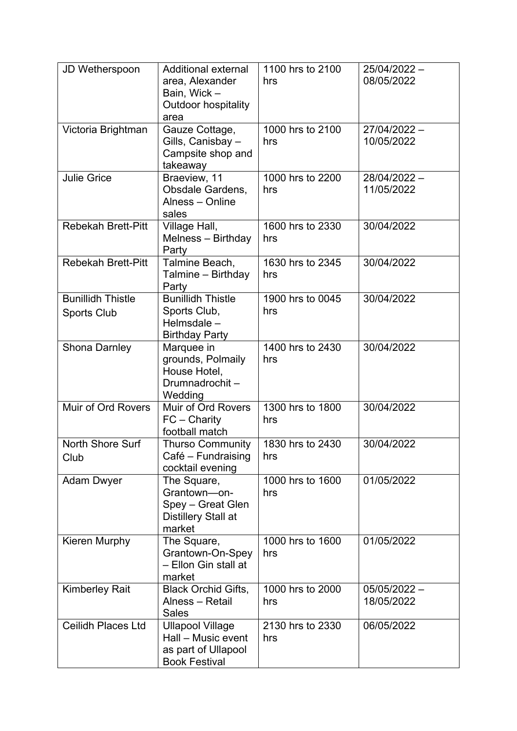| JD Wetherspoon                                 | <b>Additional external</b><br>area, Alexander<br>Bain, Wick-<br><b>Outdoor hospitality</b><br>area | 1100 hrs to 2100<br>hrs | 25/04/2022 -<br>08/05/2022   |
|------------------------------------------------|----------------------------------------------------------------------------------------------------|-------------------------|------------------------------|
| Victoria Brightman                             | Gauze Cottage,<br>Gills, Canisbay -<br>Campsite shop and<br>takeaway                               | 1000 hrs to 2100<br>hrs | 27/04/2022 -<br>10/05/2022   |
| <b>Julie Grice</b>                             | Braeview, 11<br>Obsdale Gardens,<br>Alness - Online<br>sales                                       | 1000 hrs to 2200<br>hrs | 28/04/2022 -<br>11/05/2022   |
| <b>Rebekah Brett-Pitt</b>                      | Village Hall,<br>Melness - Birthday<br>Party                                                       | 1600 hrs to 2330<br>hrs | 30/04/2022                   |
| <b>Rebekah Brett-Pitt</b>                      | Talmine Beach,<br>Talmine - Birthday<br>Party                                                      | 1630 hrs to 2345<br>hrs | 30/04/2022                   |
| <b>Bunillidh Thistle</b><br><b>Sports Club</b> | <b>Bunillidh Thistle</b><br>Sports Club,<br>Helmsdale -<br><b>Birthday Party</b>                   | 1900 hrs to 0045<br>hrs | 30/04/2022                   |
| <b>Shona Darnley</b>                           | Marquee in<br>grounds, Polmaily<br>House Hotel,<br>Drumnadrochit-<br>Wedding                       | 1400 hrs to 2430<br>hrs | 30/04/2022                   |
| Muir of Ord Rovers                             | Muir of Ord Rovers<br>$FC - Charity$<br>football match                                             | 1300 hrs to 1800<br>hrs | 30/04/2022                   |
| North Shore Surf<br>Club                       | <b>Thurso Community</b><br>Café - Fundraising<br>cocktail evening                                  | 1830 hrs to 2430<br>hrs | 30/04/2022                   |
| <b>Adam Dwyer</b>                              | The Square,<br>Grantown-on-<br>Spey - Great Glen<br>Distillery Stall at<br>market                  | 1000 hrs to 1600<br>hrs | 01/05/2022                   |
| Kieren Murphy                                  | The Square,<br>Grantown-On-Spey<br>- Ellon Gin stall at<br>market                                  | 1000 hrs to 1600<br>hrs | 01/05/2022                   |
| <b>Kimberley Rait</b>                          | <b>Black Orchid Gifts,</b><br>Alness - Retail<br><b>Sales</b>                                      | 1000 hrs to 2000<br>hrs | $05/05/2022 -$<br>18/05/2022 |
| <b>Ceilidh Places Ltd</b>                      | <b>Ullapool Village</b><br>Hall - Music event<br>as part of Ullapool<br><b>Book Festival</b>       | 2130 hrs to 2330<br>hrs | 06/05/2022                   |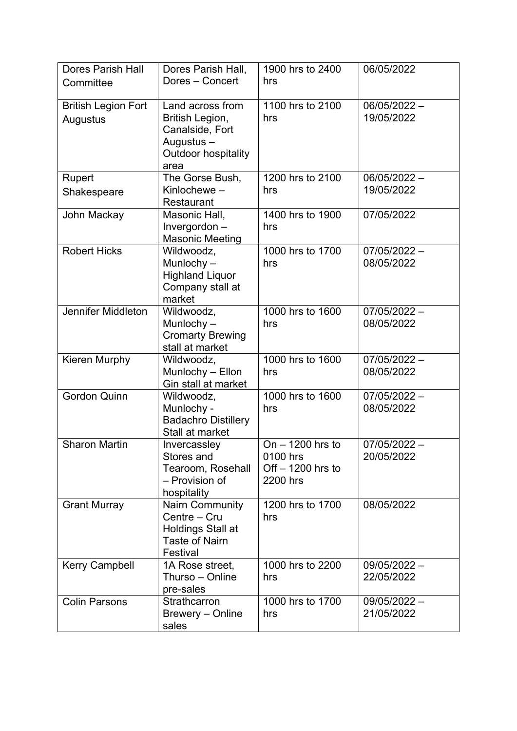| <b>Dores Parish Hall</b>               | Dores Parish Hall,                                                                                         | 1900 hrs to 2400                                                 | 06/05/2022                   |
|----------------------------------------|------------------------------------------------------------------------------------------------------------|------------------------------------------------------------------|------------------------------|
| Committee                              | Dores - Concert                                                                                            | hrs                                                              |                              |
| <b>British Legion Fort</b><br>Augustus | Land across from<br>British Legion,<br>Canalside, Fort<br>Augustus -<br><b>Outdoor hospitality</b><br>area | 1100 hrs to 2100<br>hrs                                          | $06/05/2022 -$<br>19/05/2022 |
| Rupert                                 | The Gorse Bush,                                                                                            | 1200 hrs to 2100                                                 | $06/05/2022 -$               |
| Shakespeare                            | Kinlochewe $-$<br>Restaurant                                                                               | hrs                                                              | 19/05/2022                   |
| John Mackay                            | Masonic Hall,<br>Invergordon-<br><b>Masonic Meeting</b>                                                    | 1400 hrs to 1900<br>hrs                                          | 07/05/2022                   |
| <b>Robert Hicks</b>                    | Wildwoodz,<br>Munlochy $-$<br><b>Highland Liquor</b><br>Company stall at<br>market                         | 1000 hrs to 1700<br>hrs                                          | $07/05/2022 -$<br>08/05/2022 |
| <b>Jennifer Middleton</b>              | Wildwoodz,<br>Munlochy $-$<br><b>Cromarty Brewing</b><br>stall at market                                   | 1000 hrs to 1600<br>hrs                                          | $07/05/2022 -$<br>08/05/2022 |
| Kieren Murphy                          | Wildwoodz,<br>Munlochy - Ellon<br>Gin stall at market                                                      | 1000 hrs to 1600<br>hrs                                          | $07/05/2022 -$<br>08/05/2022 |
| <b>Gordon Quinn</b>                    | Wildwoodz,<br>Munlochy -<br><b>Badachro Distillery</b><br>Stall at market                                  | 1000 hrs to 1600<br>hrs                                          | $07/05/2022 -$<br>08/05/2022 |
| <b>Sharon Martin</b>                   | Invercassley<br>Stores and<br>Tearoom, Rosehall<br>- Provision of<br>hospitality                           | On $-$ 1200 hrs to<br>0100 hrs<br>Off $-1200$ hrs to<br>2200 hrs | $07/05/2022 -$<br>20/05/2022 |
| <b>Grant Murray</b>                    | <b>Nairn Community</b><br>Centre - Cru<br><b>Holdings Stall at</b><br><b>Taste of Nairn</b><br>Festival    | 1200 hrs to 1700<br>hrs                                          | 08/05/2022                   |
| <b>Kerry Campbell</b>                  | 1A Rose street,<br>Thurso - Online<br>pre-sales                                                            | 1000 hrs to 2200<br>hrs                                          | 09/05/2022 -<br>22/05/2022   |
| <b>Colin Parsons</b>                   | Strathcarron<br>Brewery – Online<br>sales                                                                  | 1000 hrs to 1700<br>hrs                                          | 09/05/2022 -<br>21/05/2022   |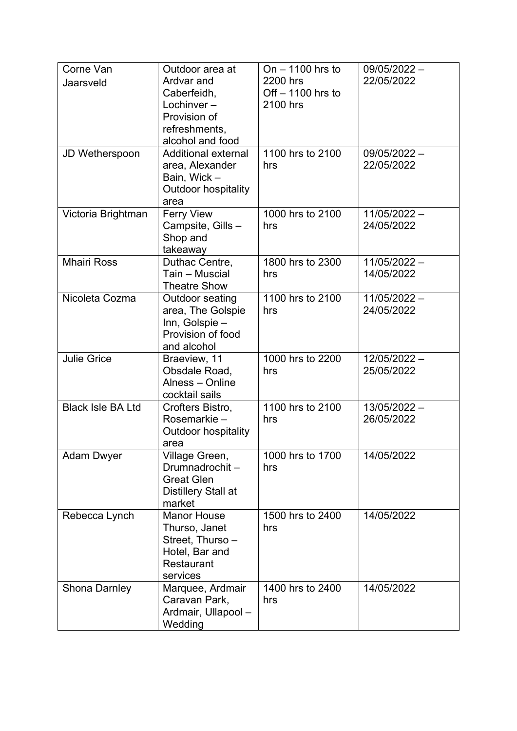| Corne Van                | Outdoor area at                     | On $-$ 1100 hrs to | 09/05/2022 -   |
|--------------------------|-------------------------------------|--------------------|----------------|
| Jaarsveld                | Ardvar and                          | 2200 hrs           | 22/05/2022     |
|                          | Caberfeidh,                         | Off $-1100$ hrs to |                |
|                          | Lochinver $-$                       | 2100 hrs           |                |
|                          | Provision of                        |                    |                |
|                          | refreshments,<br>alcohol and food   |                    |                |
| JD Wetherspoon           | <b>Additional external</b>          | 1100 hrs to 2100   | 09/05/2022 -   |
|                          | area, Alexander                     | hrs                | 22/05/2022     |
|                          | Bain, Wick-                         |                    |                |
|                          | <b>Outdoor hospitality</b>          |                    |                |
|                          | area                                |                    |                |
| Victoria Brightman       | <b>Ferry View</b>                   | 1000 hrs to 2100   | 11/05/2022 -   |
|                          | Campsite, Gills-                    | hrs                | 24/05/2022     |
|                          | Shop and                            |                    |                |
| <b>Mhairi Ross</b>       | takeaway                            | 1800 hrs to 2300   | $11/05/2022 -$ |
|                          | Duthac Centre,<br>Tain - Muscial    | hrs                | 14/05/2022     |
|                          | <b>Theatre Show</b>                 |                    |                |
| Nicoleta Cozma           | Outdoor seating                     | 1100 hrs to 2100   | $11/05/2022 -$ |
|                          | area, The Golspie                   | hrs                | 24/05/2022     |
|                          | Inn, Golspie-                       |                    |                |
|                          | Provision of food                   |                    |                |
|                          | and alcohol                         |                    |                |
| <b>Julie Grice</b>       | Braeview, 11                        | 1000 hrs to 2200   | 12/05/2022 -   |
|                          | Obsdale Road,                       | hrs                | 25/05/2022     |
|                          | Alness - Online                     |                    |                |
| <b>Black Isle BA Ltd</b> | cocktail sails<br>Crofters Bistro,  | 1100 hrs to 2100   | 13/05/2022 -   |
|                          | Rosemarkie-                         | hrs                | 26/05/2022     |
|                          | <b>Outdoor hospitality</b>          |                    |                |
|                          | area                                |                    |                |
| <b>Adam Dwyer</b>        | Village Green,                      | 1000 hrs to 1700   | 14/05/2022     |
|                          | Drumnadrochit-                      | hrs                |                |
|                          | <b>Great Glen</b>                   |                    |                |
|                          | Distillery Stall at                 |                    |                |
|                          | market                              | 1500 hrs to 2400   |                |
| Rebecca Lynch            | <b>Manor House</b><br>Thurso, Janet | hrs                | 14/05/2022     |
|                          | Street, Thurso -                    |                    |                |
|                          | Hotel, Bar and                      |                    |                |
|                          | Restaurant                          |                    |                |
|                          | services                            |                    |                |
| <b>Shona Darnley</b>     | Marquee, Ardmair                    | 1400 hrs to 2400   | 14/05/2022     |
|                          | Caravan Park,                       | hrs                |                |
|                          | Ardmair, Ullapool -                 |                    |                |
|                          | Wedding                             |                    |                |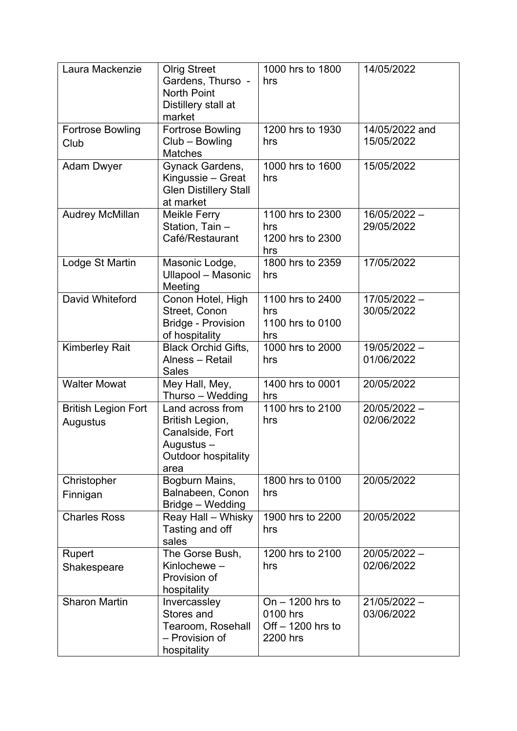| Laura Mackenzie                        | <b>Olrig Street</b><br>Gardens, Thurso -<br><b>North Point</b><br>Distillery stall at<br>market            | 1000 hrs to 1800<br>hrs                                          | 14/05/2022                   |
|----------------------------------------|------------------------------------------------------------------------------------------------------------|------------------------------------------------------------------|------------------------------|
| <b>Fortrose Bowling</b><br>Club        | <b>Fortrose Bowling</b><br>Club - Bowling<br><b>Matches</b>                                                | 1200 hrs to 1930<br>hrs                                          | 14/05/2022 and<br>15/05/2022 |
| <b>Adam Dwyer</b>                      | Gynack Gardens,<br>Kingussie - Great<br><b>Glen Distillery Stall</b><br>at market                          | 1000 hrs to 1600<br>hrs                                          | 15/05/2022                   |
| <b>Audrey McMillan</b>                 | Meikle Ferry<br>Station, Tain -<br>Café/Restaurant                                                         | 1100 hrs to 2300<br>hrs<br>1200 hrs to 2300<br>hrs               | 16/05/2022 -<br>29/05/2022   |
| Lodge St Martin                        | Masonic Lodge,<br>Ullapool - Masonic<br>Meeting                                                            | 1800 hrs to 2359<br>hrs                                          | 17/05/2022                   |
| David Whiteford                        | Conon Hotel, High<br>Street, Conon<br><b>Bridge - Provision</b><br>of hospitality                          | 1100 hrs to 2400<br>hrs<br>1100 hrs to 0100<br>hrs               | 17/05/2022 -<br>30/05/2022   |
| <b>Kimberley Rait</b>                  | <b>Black Orchid Gifts,</b><br>Alness - Retail<br><b>Sales</b>                                              | 1000 hrs to 2000<br>hrs                                          | 19/05/2022 -<br>01/06/2022   |
| <b>Walter Mowat</b>                    | Mey Hall, Mey,<br>Thurso - Wedding                                                                         | 1400 hrs to 0001<br>hrs                                          | 20/05/2022                   |
| <b>British Legion Fort</b><br>Augustus | Land across from<br>British Legion,<br>Canalside, Fort<br>Augustus –<br><b>Outdoor hospitality</b><br>area | 1100 hrs to 2100<br>hrs                                          | 20/05/2022 -<br>02/06/2022   |
| Christopher<br>Finnigan                | Bogburn Mains,<br>Balnabeen, Conon<br>Bridge - Wedding                                                     | 1800 hrs to 0100<br>hrs                                          | 20/05/2022                   |
| <b>Charles Ross</b>                    | Reay Hall - Whisky<br>Tasting and off<br>sales                                                             | 1900 hrs to 2200<br>hrs                                          | 20/05/2022                   |
| <b>Rupert</b><br>Shakespeare           | The Gorse Bush,<br>Kinlochewe $-$<br>Provision of<br>hospitality                                           | 1200 hrs to 2100<br>hrs                                          | 20/05/2022 -<br>02/06/2022   |
| <b>Sharon Martin</b>                   | Invercassley<br>Stores and<br>Tearoom, Rosehall<br>- Provision of<br>hospitality                           | On $-$ 1200 hrs to<br>0100 hrs<br>Off $-1200$ hrs to<br>2200 hrs | $21/05/2022 -$<br>03/06/2022 |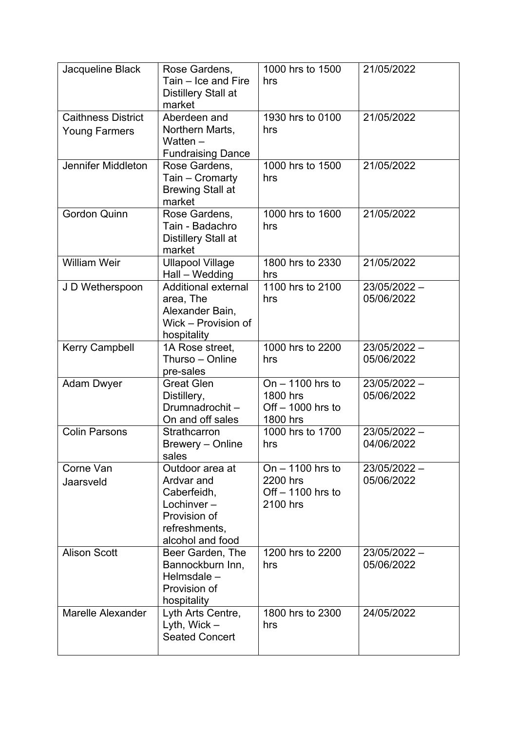| Jacqueline Black                                  | Rose Gardens,<br>Tain – Ice and Fire<br><b>Distillery Stall at</b><br>market                                    | 1000 hrs to 1500<br>hrs                                         | 21/05/2022                 |
|---------------------------------------------------|-----------------------------------------------------------------------------------------------------------------|-----------------------------------------------------------------|----------------------------|
| <b>Caithness District</b><br><b>Young Farmers</b> | Aberdeen and<br>Northern Marts,<br>Watten $-$<br><b>Fundraising Dance</b>                                       | 1930 hrs to 0100<br>hrs                                         | 21/05/2022                 |
| Jennifer Middleton                                | Rose Gardens,<br>Tain - Cromarty<br><b>Brewing Stall at</b><br>market                                           | 1000 hrs to 1500<br>hrs                                         | 21/05/2022                 |
| <b>Gordon Quinn</b>                               | Rose Gardens,<br>Tain - Badachro<br><b>Distillery Stall at</b><br>market                                        | 1000 hrs to 1600<br>hrs                                         | 21/05/2022                 |
| <b>William Weir</b>                               | <b>Ullapool Village</b><br>Hall - Wedding                                                                       | 1800 hrs to 2330<br>hrs                                         | 21/05/2022                 |
| J D Wetherspoon                                   | <b>Additional external</b><br>area, The<br>Alexander Bain,<br>Wick - Provision of<br>hospitality                | 1100 hrs to 2100<br>hrs                                         | 23/05/2022 -<br>05/06/2022 |
| <b>Kerry Campbell</b>                             | 1A Rose street,<br>Thurso - Online<br>pre-sales                                                                 | 1000 hrs to 2200<br>hrs                                         | 23/05/2022 -<br>05/06/2022 |
| <b>Adam Dwyer</b>                                 | <b>Great Glen</b><br>Distillery,<br>Drumnadrochit-<br>On and off sales                                          | On $-$ 1100 hrs to<br>1800 hrs<br>Off - 1000 hrs to<br>1800 hrs | 23/05/2022 -<br>05/06/2022 |
| <b>Colin Parsons</b>                              | Strathcarron<br>Brewery - Online<br>sales                                                                       | 1000 hrs to 1700<br>hrs                                         | 23/05/2022 -<br>04/06/2022 |
| Corne Van<br>Jaarsveld                            | Outdoor area at<br>Ardvar and<br>Caberfeidh,<br>Lochinver-<br>Provision of<br>refreshments,<br>alcohol and food | $On - 1100$ hrs to<br>2200 hrs<br>Off - 1100 hrs to<br>2100 hrs | 23/05/2022 -<br>05/06/2022 |
| <b>Alison Scott</b>                               | Beer Garden, The<br>Bannockburn Inn,<br>Helmsdale $-$<br>Provision of<br>hospitality                            | 1200 hrs to 2200<br>hrs                                         | 23/05/2022 -<br>05/06/2022 |
| <b>Marelle Alexander</b>                          | Lyth Arts Centre,<br>Lyth, Wick $-$<br><b>Seated Concert</b>                                                    | 1800 hrs to 2300<br>hrs                                         | 24/05/2022                 |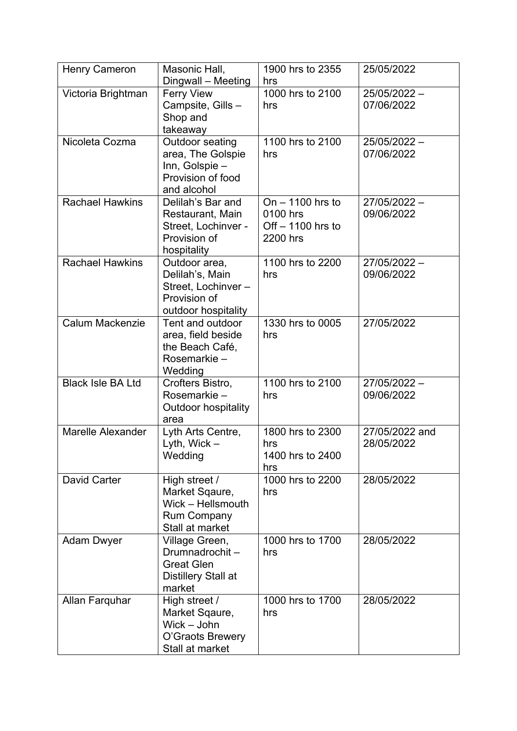| <b>Henry Cameron</b>     | Masonic Hall,<br>Dingwall - Meeting                                                           | 1900 hrs to 2355<br>hrs                                          | 25/05/2022                   |
|--------------------------|-----------------------------------------------------------------------------------------------|------------------------------------------------------------------|------------------------------|
| Victoria Brightman       | <b>Ferry View</b><br>Campsite, Gills -<br>Shop and<br>takeaway                                | 1000 hrs to 2100<br>hrs                                          | 25/05/2022 -<br>07/06/2022   |
| Nicoleta Cozma           | Outdoor seating<br>area, The Golspie<br>Inn, Golspie-<br>Provision of food<br>and alcohol     | 1100 hrs to 2100<br>hrs                                          | 25/05/2022 -<br>07/06/2022   |
| <b>Rachael Hawkins</b>   | Delilah's Bar and<br>Restaurant, Main<br>Street, Lochinver -<br>Provision of<br>hospitality   | On $-$ 1100 hrs to<br>0100 hrs<br>Off $-1100$ hrs to<br>2200 hrs | 27/05/2022 -<br>09/06/2022   |
| <b>Rachael Hawkins</b>   | Outdoor area,<br>Delilah's, Main<br>Street, Lochinver-<br>Provision of<br>outdoor hospitality | 1100 hrs to 2200<br>hrs                                          | 27/05/2022 -<br>09/06/2022   |
| <b>Calum Mackenzie</b>   | Tent and outdoor<br>area, field beside<br>the Beach Café,<br>Rosemarkie-<br>Wedding           | 1330 hrs to 0005<br>hrs                                          | 27/05/2022                   |
| <b>Black Isle BA Ltd</b> | Crofters Bistro,<br>Rosemarkie -<br><b>Outdoor hospitality</b><br>area                        | 1100 hrs to 2100<br>hrs                                          | 27/05/2022 -<br>09/06/2022   |
| <b>Marelle Alexander</b> | Lyth Arts Centre,<br>Lyth, Wick $-$<br>Wedding                                                | 1800 hrs to 2300<br>hrs<br>1400 hrs to 2400<br>hrs               | 27/05/2022 and<br>28/05/2022 |
| <b>David Carter</b>      | High street /<br>Market Sqaure,<br>Wick - Hellsmouth<br><b>Rum Company</b><br>Stall at market | 1000 hrs to 2200<br>hrs                                          | 28/05/2022                   |
| <b>Adam Dwyer</b>        | Village Green,<br>Drumnadrochit-<br><b>Great Glen</b><br>Distillery Stall at<br>market        | 1000 hrs to 1700<br>hrs                                          | 28/05/2022                   |
| Allan Farquhar           | High street /<br>Market Sqaure,<br>Wick - John<br>O'Graots Brewery<br>Stall at market         | 1000 hrs to 1700<br>hrs                                          | 28/05/2022                   |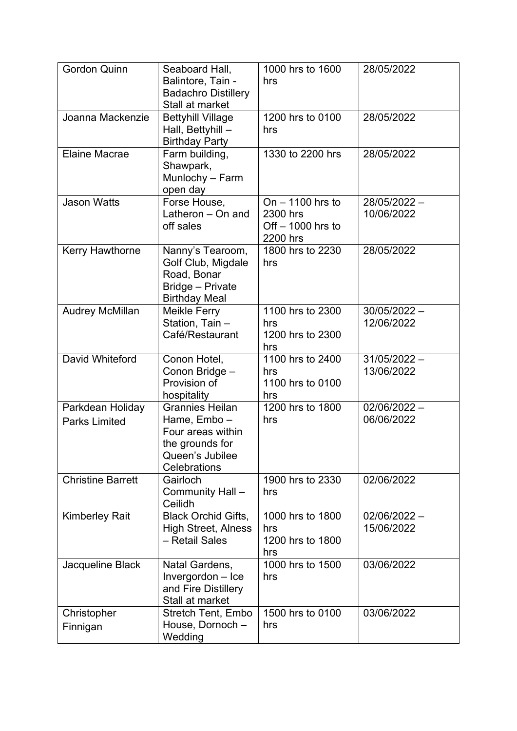| <b>Gordon Quinn</b>                      | Seaboard Hall,<br>Balintore, Tain -<br><b>Badachro Distillery</b><br>Stall at market                             | 1000 hrs to 1600<br>hrs                                           | 28/05/2022                   |
|------------------------------------------|------------------------------------------------------------------------------------------------------------------|-------------------------------------------------------------------|------------------------------|
| Joanna Mackenzie                         | <b>Bettyhill Village</b><br>Hall, Bettyhill -<br><b>Birthday Party</b>                                           | 1200 hrs to 0100<br>hrs                                           | 28/05/2022                   |
| <b>Elaine Macrae</b>                     | Farm building,<br>Shawpark,<br>Munlochy - Farm<br>open day                                                       | 1330 to 2200 hrs                                                  | 28/05/2022                   |
| <b>Jason Watts</b>                       | Forse House,<br>Latheron - On and<br>off sales                                                                   | On $-$ 1100 hrs to<br>2300 hrs<br>Off $-$ 1000 hrs to<br>2200 hrs | 28/05/2022 -<br>10/06/2022   |
| <b>Kerry Hawthorne</b>                   | Nanny's Tearoom,<br>Golf Club, Migdale<br>Road, Bonar<br>Bridge - Private<br><b>Birthday Meal</b>                | 1800 hrs to 2230<br>hrs                                           | 28/05/2022                   |
| <b>Audrey McMillan</b>                   | Meikle Ferry<br>Station, Tain -<br>Café/Restaurant                                                               | 1100 hrs to 2300<br>hrs<br>1200 hrs to 2300<br>hrs                | $30/05/2022 -$<br>12/06/2022 |
| David Whiteford                          | Conon Hotel,<br>Conon Bridge -<br>Provision of<br>hospitality                                                    | 1100 hrs to 2400<br>hrs<br>1100 hrs to 0100<br>hrs                | $31/05/2022 -$<br>13/06/2022 |
| Parkdean Holiday<br><b>Parks Limited</b> | <b>Grannies Heilan</b><br>Hame, Embo-<br>Four areas within<br>the grounds for<br>Queen's Jubilee<br>Celebrations | 1200 hrs to 1800<br>hrs                                           | $02/06/2022 -$<br>06/06/2022 |
| <b>Christine Barrett</b>                 | Gairloch<br>Community Hall -<br>Ceilidh                                                                          | 1900 hrs to 2330<br>hrs                                           | 02/06/2022                   |
| <b>Kimberley Rait</b>                    | <b>Black Orchid Gifts,</b><br><b>High Street, Alness</b><br>- Retail Sales                                       | 1000 hrs to 1800<br>hrs<br>1200 hrs to 1800<br>hrs                | $02/06/2022 -$<br>15/06/2022 |
| Jacqueline Black                         | Natal Gardens,<br>Invergordon - Ice<br>and Fire Distillery<br>Stall at market                                    | 1000 hrs to 1500<br>hrs                                           | 03/06/2022                   |
| Christopher<br>Finnigan                  | <b>Stretch Tent, Embo</b><br>House, Dornoch -<br>Wedding                                                         | 1500 hrs to 0100<br>hrs                                           | 03/06/2022                   |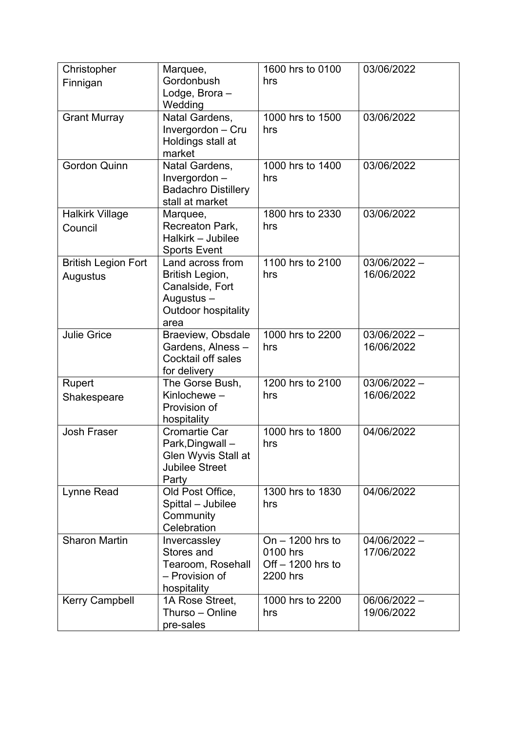| Christopher<br>Finnigan                | Marquee,<br>Gordonbush<br>Lodge, Brora-<br>Wedding                                                         | 1600 hrs to 0100<br>hrs                                          | 03/06/2022                   |
|----------------------------------------|------------------------------------------------------------------------------------------------------------|------------------------------------------------------------------|------------------------------|
| <b>Grant Murray</b>                    | Natal Gardens,<br>Invergordon - Cru<br>Holdings stall at<br>market                                         | 1000 hrs to 1500<br>hrs                                          | 03/06/2022                   |
| <b>Gordon Quinn</b>                    | Natal Gardens,<br>Invergordon-<br><b>Badachro Distillery</b><br>stall at market                            | 1000 hrs to 1400<br>hrs                                          | 03/06/2022                   |
| <b>Halkirk Village</b><br>Council      | Marquee,<br>Recreaton Park,<br>Halkirk - Jubilee<br><b>Sports Event</b>                                    | 1800 hrs to 2330<br>hrs                                          | 03/06/2022                   |
| <b>British Legion Fort</b><br>Augustus | Land across from<br>British Legion,<br>Canalside, Fort<br>Augustus -<br><b>Outdoor hospitality</b><br>area | 1100 hrs to 2100<br>hrs                                          | $03/06/2022 -$<br>16/06/2022 |
| <b>Julie Grice</b>                     | Braeview, Obsdale<br>Gardens, Alness-<br><b>Cocktail off sales</b><br>for delivery                         | 1000 hrs to 2200<br>hrs                                          | $03/06/2022 -$<br>16/06/2022 |
| Rupert<br>Shakespeare                  | The Gorse Bush,<br>Kinlochewe-<br>Provision of<br>hospitality                                              | 1200 hrs to 2100<br>hrs                                          | $03/06/2022 -$<br>16/06/2022 |
| <b>Josh Fraser</b>                     | Cromartie Car<br>Park, Dingwall-<br><b>Glen Wyvis Stall at</b><br><b>Jubilee Street</b><br>Party           | 1000 hrs to 1800<br>hrs                                          | 04/06/2022                   |
| Lynne Read                             | Old Post Office,<br>Spittal - Jubilee<br>Community<br>Celebration                                          | 1300 hrs to 1830<br>hrs                                          | 04/06/2022                   |
| <b>Sharon Martin</b>                   | Invercassley<br>Stores and<br>Tearoom, Rosehall<br>- Provision of<br>hospitality                           | On $-$ 1200 hrs to<br>0100 hrs<br>Off $-1200$ hrs to<br>2200 hrs | 04/06/2022 -<br>17/06/2022   |
| <b>Kerry Campbell</b>                  | 1A Rose Street,<br>Thurso - Online<br>pre-sales                                                            | 1000 hrs to 2200<br>hrs                                          | 06/06/2022 -<br>19/06/2022   |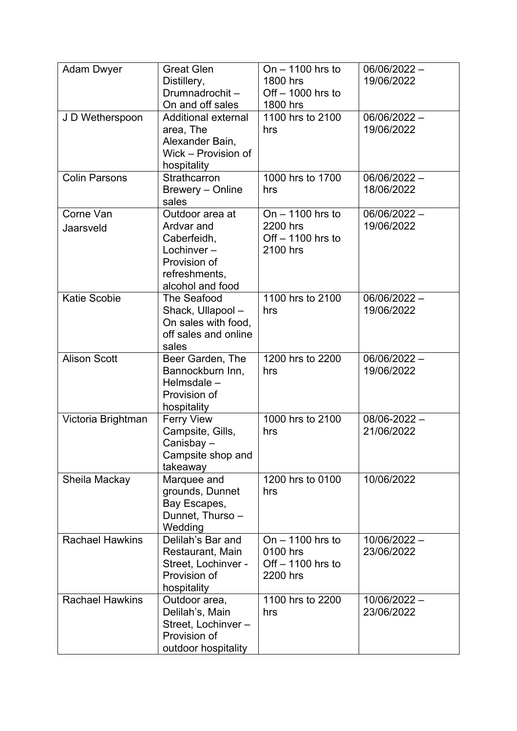| <b>Adam Dwyer</b>      | <b>Great Glen</b><br>Distillery,<br>Drumnadrochit-<br>On and off sales                                          | On $-$ 1100 hrs to<br>1800 hrs<br>Off $-$ 1000 hrs to<br>1800 hrs | 06/06/2022-<br>19/06/2022      |
|------------------------|-----------------------------------------------------------------------------------------------------------------|-------------------------------------------------------------------|--------------------------------|
| J D Wetherspoon        | Additional external<br>area, The<br>Alexander Bain,<br>Wick - Provision of<br>hospitality                       | 1100 hrs to 2100<br>hrs                                           | 06/06/2022-<br>19/06/2022      |
| <b>Colin Parsons</b>   | Strathcarron<br>Brewery - Online<br>sales                                                                       | 1000 hrs to 1700<br>hrs                                           | 06/06/2022-<br>18/06/2022      |
| Corne Van<br>Jaarsveld | Outdoor area at<br>Ardvar and<br>Caberfeidh,<br>Lochinver-<br>Provision of<br>refreshments,<br>alcohol and food | On $-$ 1100 hrs to<br>2200 hrs<br>Off - 1100 hrs to<br>2100 hrs   | 06/06/2022-<br>19/06/2022      |
| <b>Katie Scobie</b>    | The Seafood<br>Shack, Ullapool -<br>On sales with food,<br>off sales and online<br>sales                        | 1100 hrs to 2100<br>hrs                                           | $06/06/2022 -$<br>19/06/2022   |
| <b>Alison Scott</b>    | Beer Garden, The<br>Bannockburn Inn,<br>Helmsdale -<br>Provision of<br>hospitality                              | 1200 hrs to 2200<br>hrs                                           | 06/06/2022 -<br>19/06/2022     |
| Victoria Brightman     | <b>Ferry View</b><br>Campsite, Gills,<br>Canisbay-<br>Campsite shop and<br>takeaway                             | 1000 hrs to 2100<br>hrs                                           | $08/06 - 2022 -$<br>21/06/2022 |
| Sheila Mackay          | Marquee and<br>grounds, Dunnet<br>Bay Escapes,<br>Dunnet, Thurso -<br>Wedding                                   | 1200 hrs to 0100<br>hrs                                           | 10/06/2022                     |
| <b>Rachael Hawkins</b> | Delilah's Bar and<br>Restaurant, Main<br>Street, Lochinver -<br>Provision of<br>hospitality                     | On $-$ 1100 hrs to<br>0100 hrs<br>$Off - 1100$ hrs to<br>2200 hrs | 10/06/2022 -<br>23/06/2022     |
| <b>Rachael Hawkins</b> | Outdoor area,<br>Delilah's, Main<br>Street, Lochinver-<br>Provision of<br>outdoor hospitality                   | 1100 hrs to 2200<br>hrs                                           | 10/06/2022 -<br>23/06/2022     |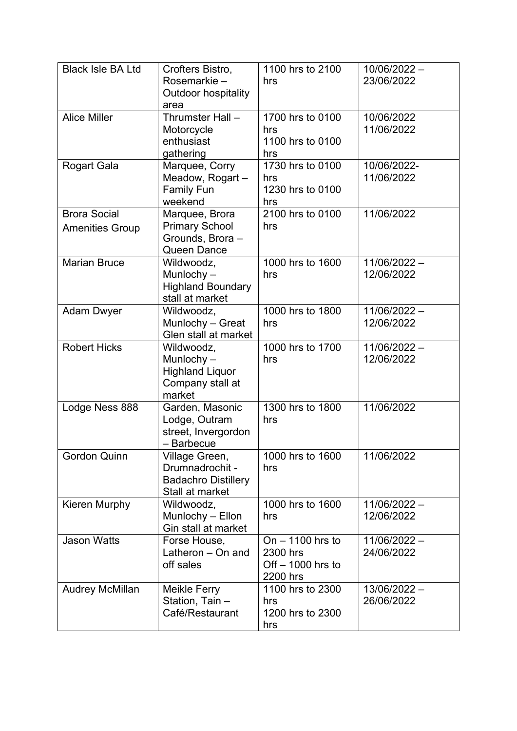| <b>Black Isle BA Ltd</b> | Crofters Bistro,                           | 1100 hrs to 2100    | 10/06/2022 -   |
|--------------------------|--------------------------------------------|---------------------|----------------|
|                          | Rosemarkie-                                | hrs                 | 23/06/2022     |
|                          | Outdoor hospitality                        |                     |                |
| <b>Alice Miller</b>      | area<br>Thrumster Hall -                   | 1700 hrs to 0100    | 10/06/2022     |
|                          | Motorcycle                                 | hrs                 | 11/06/2022     |
|                          | enthusiast                                 | 1100 hrs to 0100    |                |
|                          | gathering                                  | hrs                 |                |
| Rogart Gala              | Marquee, Corry                             | 1730 hrs to 0100    | 10/06/2022-    |
|                          | Meadow, Rogart -                           | hrs                 | 11/06/2022     |
|                          | <b>Family Fun</b>                          | 1230 hrs to 0100    |                |
|                          | weekend                                    | hrs                 |                |
| <b>Brora Social</b>      | Marquee, Brora                             | 2100 hrs to 0100    | 11/06/2022     |
| <b>Amenities Group</b>   | <b>Primary School</b>                      | hrs                 |                |
|                          | Grounds, Brora -<br>Queen Dance            |                     |                |
| <b>Marian Bruce</b>      | Wildwoodz,                                 | 1000 hrs to 1600    | 11/06/2022 -   |
|                          | Munlochy $-$                               | hrs                 | 12/06/2022     |
|                          | <b>Highland Boundary</b>                   |                     |                |
|                          | stall at market                            |                     |                |
| <b>Adam Dwyer</b>        | Wildwoodz,                                 | 1000 hrs to 1800    | 11/06/2022 -   |
|                          | Munlochy - Great                           | hrs                 | 12/06/2022     |
|                          | Glen stall at market                       |                     |                |
| <b>Robert Hicks</b>      | Wildwoodz,                                 | 1000 hrs to 1700    | $11/06/2022 -$ |
|                          | Munlochy $-$                               | hrs                 | 12/06/2022     |
|                          | <b>Highland Liquor</b><br>Company stall at |                     |                |
|                          | market                                     |                     |                |
| Lodge Ness 888           | Garden, Masonic                            | 1300 hrs to 1800    | 11/06/2022     |
|                          | Lodge, Outram                              | hrs                 |                |
|                          | street, Invergordon                        |                     |                |
|                          | - Barbecue                                 |                     |                |
| <b>Gordon Quinn</b>      | Village Green,                             | 1000 hrs to 1600    | 11/06/2022     |
|                          | Drumnadrochit -                            | hrs                 |                |
|                          | <b>Badachro Distillery</b>                 |                     |                |
| Kieren Murphy            | Stall at market<br>Wildwoodz,              | 1000 hrs to 1600    | 11/06/2022 -   |
|                          | Munlochy - Ellon                           | hrs                 | 12/06/2022     |
|                          | Gin stall at market                        |                     |                |
| <b>Jason Watts</b>       | Forse House,                               | On $-$ 1100 hrs to  | 11/06/2022 -   |
|                          | Latheron - On and                          | 2300 hrs            | 24/06/2022     |
|                          | off sales                                  | Off $-$ 1000 hrs to |                |
|                          |                                            | 2200 hrs            |                |
| <b>Audrey McMillan</b>   | Meikle Ferry                               | 1100 hrs to 2300    | 13/06/2022 -   |
|                          | Station, Tain -                            | hrs                 | 26/06/2022     |
|                          | Café/Restaurant                            | 1200 hrs to 2300    |                |
|                          |                                            | hrs                 |                |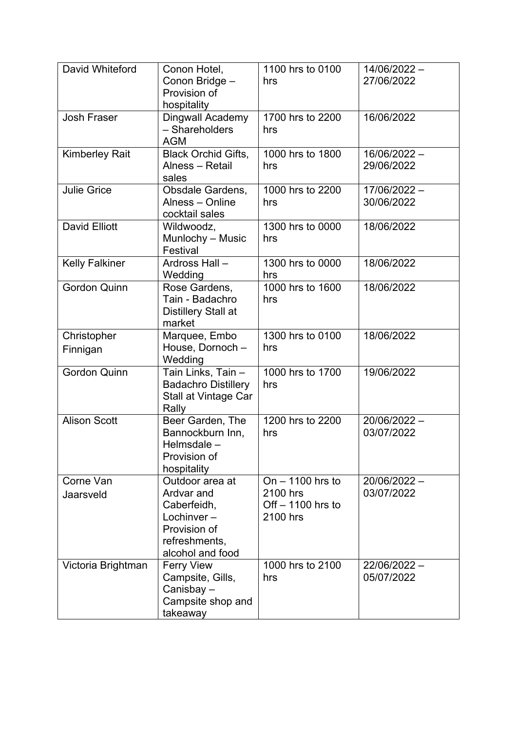| David Whiteford         | Conon Hotel,<br>Conon Bridge -<br>Provision of<br>hospitality                                                      | 1100 hrs to 0100<br>hrs                                         | 14/06/2022 -<br>27/06/2022 |
|-------------------------|--------------------------------------------------------------------------------------------------------------------|-----------------------------------------------------------------|----------------------------|
| <b>Josh Fraser</b>      | <b>Dingwall Academy</b><br>- Shareholders<br><b>AGM</b>                                                            | 1700 hrs to 2200<br>hrs                                         | 16/06/2022                 |
| <b>Kimberley Rait</b>   | <b>Black Orchid Gifts,</b><br>Alness - Retail<br>sales                                                             | 1000 hrs to 1800<br>hrs                                         | 16/06/2022 -<br>29/06/2022 |
| <b>Julie Grice</b>      | Obsdale Gardens,<br>Alness - Online<br>cocktail sales                                                              | 1000 hrs to 2200<br>hrs                                         | 17/06/2022 -<br>30/06/2022 |
| <b>David Elliott</b>    | Wildwoodz,<br>Munlochy - Music<br>Festival                                                                         | 1300 hrs to 0000<br>hrs                                         | 18/06/2022                 |
| <b>Kelly Falkiner</b>   | Ardross Hall-<br>Wedding                                                                                           | 1300 hrs to 0000<br>hrs                                         | 18/06/2022                 |
| <b>Gordon Quinn</b>     | Rose Gardens,<br>Tain - Badachro<br><b>Distillery Stall at</b><br>market                                           | 1000 hrs to 1600<br>hrs                                         | 18/06/2022                 |
| Christopher<br>Finnigan | Marquee, Embo<br>House, Dornoch-<br>Wedding                                                                        | 1300 hrs to 0100<br>hrs                                         | 18/06/2022                 |
| <b>Gordon Quinn</b>     | Tain Links, Tain -<br><b>Badachro Distillery</b><br>Stall at Vintage Car<br>Rally                                  | 1000 hrs to 1700<br>hrs                                         | 19/06/2022                 |
| <b>Alison Scott</b>     | Beer Garden, The<br>Bannockburn Inn,<br>Helmsdale -<br>Provision of<br>hospitality                                 | 1200 hrs to 2200<br>hrs                                         | 20/06/2022 -<br>03/07/2022 |
| Corne Van<br>Jaarsveld  | Outdoor area at<br>Ardvar and<br>Caberfeidh,<br>Lochinver $-$<br>Provision of<br>refreshments,<br>alcohol and food | On $-1100$ hrs to<br>2100 hrs<br>Off $-1100$ hrs to<br>2100 hrs | 20/06/2022 -<br>03/07/2022 |
| Victoria Brightman      | <b>Ferry View</b><br>Campsite, Gills,<br>Canisbay-<br>Campsite shop and<br>takeaway                                | 1000 hrs to 2100<br>hrs                                         | 22/06/2022 -<br>05/07/2022 |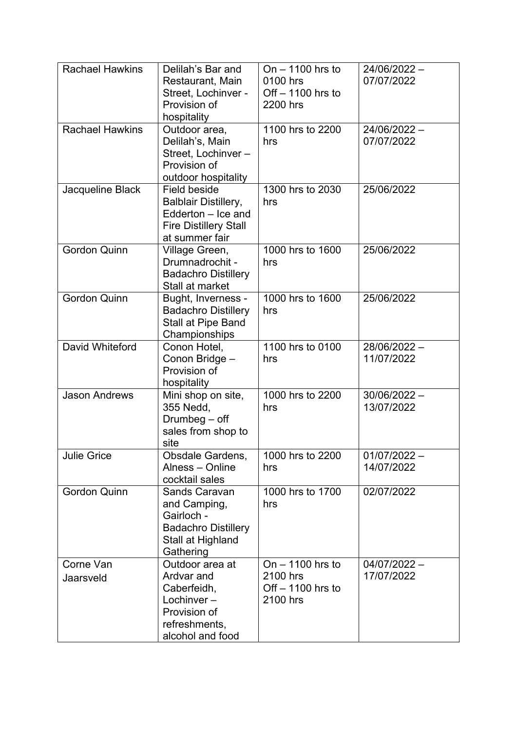| <b>Rachael Hawkins</b> | Delilah's Bar and<br>Restaurant, Main<br>Street, Lochinver -<br>Provision of<br>hospitality                         | On $-$ 1100 hrs to<br>0100 hrs<br>Off $-1100$ hrs to<br>2200 hrs | 24/06/2022 -<br>07/07/2022   |
|------------------------|---------------------------------------------------------------------------------------------------------------------|------------------------------------------------------------------|------------------------------|
| <b>Rachael Hawkins</b> | Outdoor area,<br>Delilah's, Main<br>Street, Lochinver-<br>Provision of<br>outdoor hospitality                       | 1100 hrs to 2200<br>hrs                                          | 24/06/2022 -<br>07/07/2022   |
| Jacqueline Black       | Field beside<br><b>Balblair Distillery,</b><br>Edderton - Ice and<br><b>Fire Distillery Stall</b><br>at summer fair | 1300 hrs to 2030<br>hrs                                          | 25/06/2022                   |
| <b>Gordon Quinn</b>    | Village Green,<br>Drumnadrochit -<br><b>Badachro Distillery</b><br>Stall at market                                  | 1000 hrs to 1600<br>hrs                                          | 25/06/2022                   |
| <b>Gordon Quinn</b>    | Bught, Inverness -<br><b>Badachro Distillery</b><br>Stall at Pipe Band<br>Championships                             | 1000 hrs to 1600<br>hrs                                          | 25/06/2022                   |
| David Whiteford        | Conon Hotel,<br>Conon Bridge -<br>Provision of<br>hospitality                                                       | 1100 hrs to 0100<br>hrs                                          | 28/06/2022-<br>11/07/2022    |
| <b>Jason Andrews</b>   | Mini shop on site,<br>355 Nedd,<br>Drumbeg $-$ off<br>sales from shop to<br>site                                    | 1000 hrs to 2200<br>hrs                                          | 30/06/2022 -<br>13/07/2022   |
| <b>Julie Grice</b>     | <b>Obsdale Gardens,</b><br>Alness - Online<br>cocktail sales                                                        | 1000 hrs to 2200<br>hrs                                          | $01/07/2022 -$<br>14/07/2022 |
| <b>Gordon Quinn</b>    | <b>Sands Caravan</b><br>and Camping,<br>Gairloch -<br><b>Badachro Distillery</b><br>Stall at Highland<br>Gathering  | 1000 hrs to 1700<br>hrs                                          | 02/07/2022                   |
| Corne Van<br>Jaarsveld | Outdoor area at<br>Ardvar and<br>Caberfeidh,<br>Lochinver $-$<br>Provision of<br>refreshments,<br>alcohol and food  | On $-$ 1100 hrs to<br>2100 hrs<br>Off $-1100$ hrs to<br>2100 hrs | $04/07/2022 -$<br>17/07/2022 |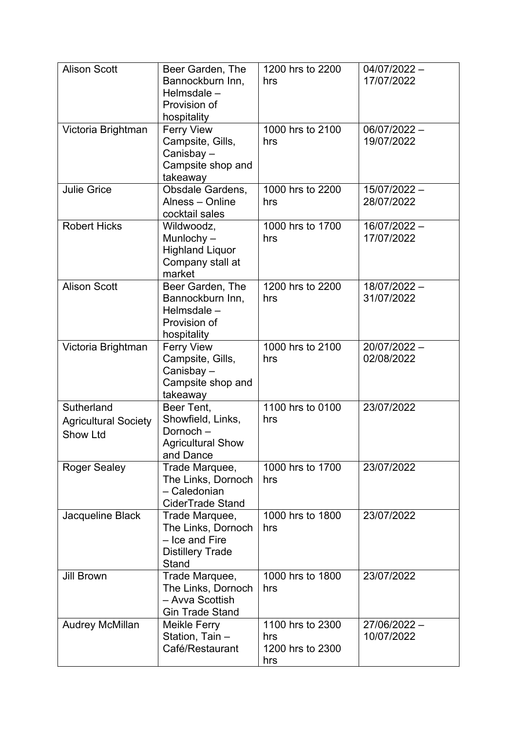| <b>Alison Scott</b>                                          | Beer Garden, The<br>Bannockburn Inn,<br>Helmsdale -<br>Provision of<br>hospitality         | 1200 hrs to 2200<br>hrs                            | $04/07/2022 -$<br>17/07/2022 |
|--------------------------------------------------------------|--------------------------------------------------------------------------------------------|----------------------------------------------------|------------------------------|
| Victoria Brightman                                           | <b>Ferry View</b><br>Campsite, Gills,<br>Canisbay-<br>Campsite shop and<br>takeaway        | 1000 hrs to 2100<br>hrs                            | 06/07/2022 -<br>19/07/2022   |
| <b>Julie Grice</b>                                           | Obsdale Gardens,<br>Alness - Online<br>cocktail sales                                      | 1000 hrs to 2200<br>hrs                            | 15/07/2022 -<br>28/07/2022   |
| <b>Robert Hicks</b>                                          | Wildwoodz,<br>Munlochy $-$<br><b>Highland Liquor</b><br>Company stall at<br>market         | 1000 hrs to 1700<br>hrs                            | 16/07/2022 -<br>17/07/2022   |
| <b>Alison Scott</b>                                          | Beer Garden, The<br>Bannockburn Inn,<br>Helmsdale -<br>Provision of<br>hospitality         | 1200 hrs to 2200<br>hrs                            | 18/07/2022 -<br>31/07/2022   |
| Victoria Brightman                                           | <b>Ferry View</b><br>Campsite, Gills,<br>Canisbay-<br>Campsite shop and<br>takeaway        | 1000 hrs to 2100<br>hrs                            | 20/07/2022 -<br>02/08/2022   |
| Sutherland<br><b>Agricultural Society</b><br><b>Show Ltd</b> | Beer Tent,<br>Showfield, Links,<br>Dornoch-<br><b>Agricultural Show</b><br>and Dance       | 1100 hrs to 0100<br>hrs                            | 23/07/2022                   |
| <b>Roger Sealey</b>                                          | Trade Marquee,<br>The Links, Dornoch<br>- Caledonian<br><b>CiderTrade Stand</b>            | 1000 hrs to 1700<br>hrs                            | 23/07/2022                   |
| Jacqueline Black                                             | Trade Marquee,<br>The Links, Dornoch<br>- Ice and Fire<br><b>Distillery Trade</b><br>Stand | 1000 hrs to 1800<br>hrs                            | 23/07/2022                   |
| <b>Jill Brown</b>                                            | Trade Marquee,<br>The Links, Dornoch<br>- Avva Scottish<br><b>Gin Trade Stand</b>          | 1000 hrs to 1800<br>hrs                            | 23/07/2022                   |
| <b>Audrey McMillan</b>                                       | Meikle Ferry<br>Station, Tain -<br>Café/Restaurant                                         | 1100 hrs to 2300<br>hrs<br>1200 hrs to 2300<br>hrs | 27/06/2022 -<br>10/07/2022   |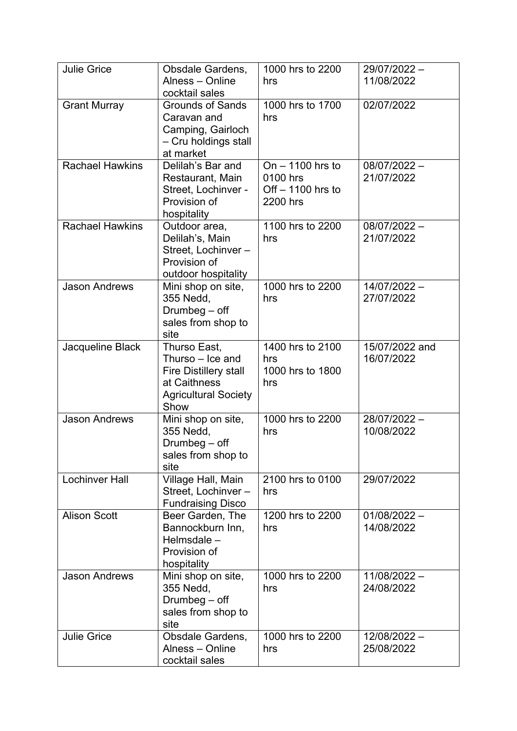| <b>Julie Grice</b>     | Obsdale Gardens,                               | 1000 hrs to 2200               | 29/07/2022 -   |
|------------------------|------------------------------------------------|--------------------------------|----------------|
|                        | Alness - Online                                | hrs                            | 11/08/2022     |
|                        | cocktail sales                                 |                                |                |
| <b>Grant Murray</b>    | <b>Grounds of Sands</b>                        | 1000 hrs to 1700               | 02/07/2022     |
|                        | Caravan and                                    | hrs                            |                |
|                        | Camping, Gairloch                              |                                |                |
|                        | - Cru holdings stall                           |                                |                |
|                        | at market                                      |                                |                |
| <b>Rachael Hawkins</b> | Delilah's Bar and                              | On $-$ 1100 hrs to             | 08/07/2022 -   |
|                        | Restaurant, Main                               | 0100 hrs                       | 21/07/2022     |
|                        | Street, Lochinver -<br>Provision of            | Off $-1100$ hrs to<br>2200 hrs |                |
|                        | hospitality                                    |                                |                |
| <b>Rachael Hawkins</b> | Outdoor area,                                  | 1100 hrs to 2200               | $08/07/2022 -$ |
|                        | Delilah's, Main                                | hrs                            | 21/07/2022     |
|                        | Street, Lochinver-                             |                                |                |
|                        | Provision of                                   |                                |                |
|                        | outdoor hospitality                            |                                |                |
| <b>Jason Andrews</b>   | Mini shop on site,                             | 1000 hrs to 2200               | 14/07/2022 -   |
|                        | 355 Nedd,                                      | hrs                            | 27/07/2022     |
|                        | Drumbeg $-$ off                                |                                |                |
|                        | sales from shop to                             |                                |                |
|                        | site                                           |                                |                |
| Jacqueline Black       | Thurso East,                                   | 1400 hrs to 2100               | 15/07/2022 and |
|                        | Thurso – Ice and                               | hrs<br>1000 hrs to 1800        | 16/07/2022     |
|                        | <b>Fire Distillery stall</b><br>at Caithness   | hrs                            |                |
|                        | <b>Agricultural Society</b>                    |                                |                |
|                        | Show                                           |                                |                |
| <b>Jason Andrews</b>   | Mini shop on site,                             | 1000 hrs to 2200               | 28/07/2022 -   |
|                        | 355 Nedd,                                      | hrs                            | 10/08/2022     |
|                        | Drumbeg $-$ off                                |                                |                |
|                        | sales from shop to                             |                                |                |
|                        | site                                           |                                |                |
| Lochinver Hall         | Village Hall, Main                             | 2100 hrs to 0100               | 29/07/2022     |
|                        | Street, Lochinver-<br><b>Fundraising Disco</b> | hrs                            |                |
| <b>Alison Scott</b>    | Beer Garden, The                               | 1200 hrs to 2200               | $01/08/2022 -$ |
|                        | Bannockburn Inn,                               | hrs                            | 14/08/2022     |
|                        | Helmsdale $-$                                  |                                |                |
|                        | Provision of                                   |                                |                |
|                        | hospitality                                    |                                |                |
| <b>Jason Andrews</b>   | Mini shop on site,                             | 1000 hrs to 2200               | $11/08/2022 -$ |
|                        | 355 Nedd,                                      | hrs                            | 24/08/2022     |
|                        | Drumbeg $-$ off                                |                                |                |
|                        | sales from shop to                             |                                |                |
|                        | site                                           |                                |                |
| <b>Julie Grice</b>     | Obsdale Gardens,                               | 1000 hrs to 2200               | 12/08/2022 -   |
|                        | Alness - Online                                | hrs                            | 25/08/2022     |
|                        | cocktail sales                                 |                                |                |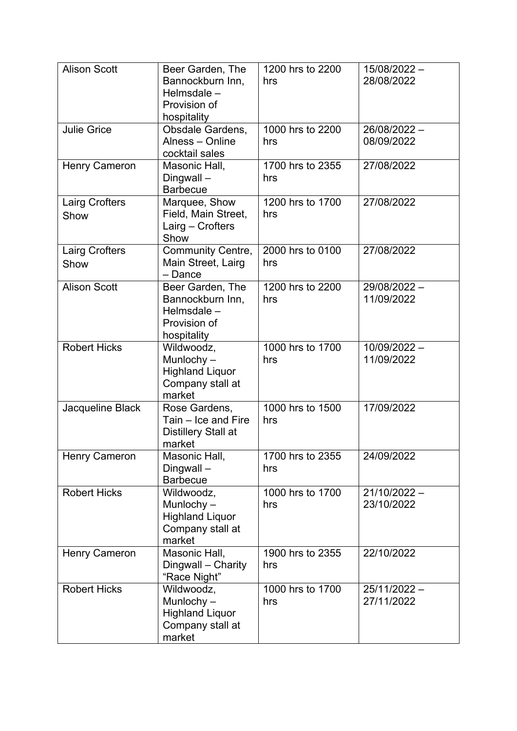| <b>Alison Scott</b>           | Beer Garden, The<br>Bannockburn Inn,<br>Helmsdale -<br>Provision of<br>hospitality | 1200 hrs to 2200<br>hrs | 15/08/2022 -<br>28/08/2022   |
|-------------------------------|------------------------------------------------------------------------------------|-------------------------|------------------------------|
| <b>Julie Grice</b>            | Obsdale Gardens,<br>Alness - Online<br>cocktail sales                              | 1000 hrs to 2200<br>hrs | 26/08/2022 -<br>08/09/2022   |
| <b>Henry Cameron</b>          | Masonic Hall,<br>Dingwall-<br><b>Barbecue</b>                                      | 1700 hrs to 2355<br>hrs | 27/08/2022                   |
| <b>Lairg Crofters</b><br>Show | Marquee, Show<br>Field, Main Street,<br>Lairg - Crofters<br>Show                   | 1200 hrs to 1700<br>hrs | 27/08/2022                   |
| Lairg Crofters<br>Show        | Community Centre,<br>Main Street, Lairg<br>- Dance                                 | 2000 hrs to 0100<br>hrs | 27/08/2022                   |
| <b>Alison Scott</b>           | Beer Garden, The<br>Bannockburn Inn,<br>Helmsdale -<br>Provision of<br>hospitality | 1200 hrs to 2200<br>hrs | 29/08/2022 -<br>11/09/2022   |
| <b>Robert Hicks</b>           | Wildwoodz,<br>Munlochy $-$<br><b>Highland Liquor</b><br>Company stall at<br>market | 1000 hrs to 1700<br>hrs | 10/09/2022 -<br>11/09/2022   |
| Jacqueline Black              | Rose Gardens,<br>Tain - Ice and Fire<br>Distillery Stall at<br>market              | 1000 hrs to 1500<br>hrs | 17/09/2022                   |
| <b>Henry Cameron</b>          | Masonic Hall,<br>Dingwall-<br><b>Barbecue</b>                                      | 1700 hrs to 2355<br>hrs | 24/09/2022                   |
| <b>Robert Hicks</b>           | Wildwoodz,<br>Munlochy $-$<br><b>Highland Liquor</b><br>Company stall at<br>market | 1000 hrs to 1700<br>hrs | $21/10/2022 -$<br>23/10/2022 |
| <b>Henry Cameron</b>          | Masonic Hall,<br>Dingwall - Charity<br>"Race Night"                                | 1900 hrs to 2355<br>hrs | 22/10/2022                   |
| <b>Robert Hicks</b>           | Wildwoodz,<br>Munlochy $-$<br><b>Highland Liquor</b><br>Company stall at<br>market | 1000 hrs to 1700<br>hrs | 25/11/2022 -<br>27/11/2022   |